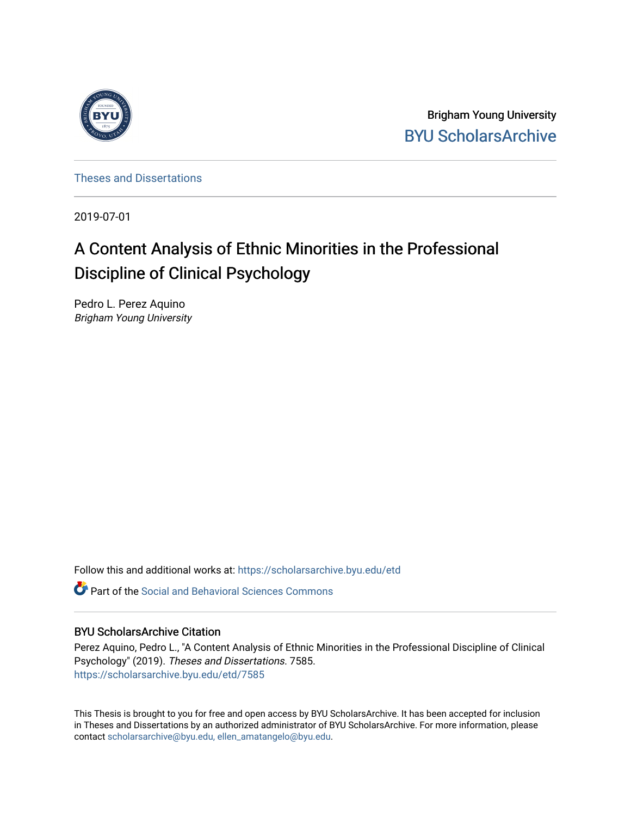

Brigham Young University [BYU ScholarsArchive](https://scholarsarchive.byu.edu/) 

[Theses and Dissertations](https://scholarsarchive.byu.edu/etd)

2019-07-01

# A Content Analysis of Ethnic Minorities in the Professional Discipline of Clinical Psychology

Pedro L. Perez Aquino Brigham Young University

Follow this and additional works at: [https://scholarsarchive.byu.edu/etd](https://scholarsarchive.byu.edu/etd?utm_source=scholarsarchive.byu.edu%2Fetd%2F7585&utm_medium=PDF&utm_campaign=PDFCoverPages)

**P** Part of the Social and Behavioral Sciences Commons

### BYU ScholarsArchive Citation

Perez Aquino, Pedro L., "A Content Analysis of Ethnic Minorities in the Professional Discipline of Clinical Psychology" (2019). Theses and Dissertations. 7585. [https://scholarsarchive.byu.edu/etd/7585](https://scholarsarchive.byu.edu/etd/7585?utm_source=scholarsarchive.byu.edu%2Fetd%2F7585&utm_medium=PDF&utm_campaign=PDFCoverPages) 

This Thesis is brought to you for free and open access by BYU ScholarsArchive. It has been accepted for inclusion in Theses and Dissertations by an authorized administrator of BYU ScholarsArchive. For more information, please contact [scholarsarchive@byu.edu, ellen\\_amatangelo@byu.edu](mailto:scholarsarchive@byu.edu,%20ellen_amatangelo@byu.edu).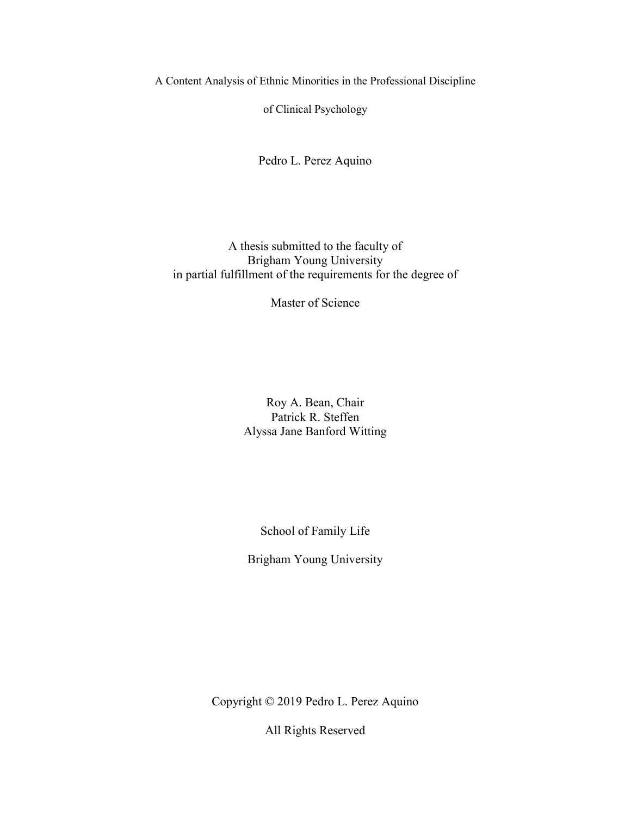A Content Analysis of Ethnic Minorities in the Professional Discipline

of Clinical Psychology

Pedro L. Perez Aquino

## A thesis submitted to the faculty of Brigham Young University in partial fulfillment of the requirements for the degree of

Master of Science

Roy A. Bean, Chair Patrick R. Steffen Alyssa Jane Banford Witting

School of Family Life

Brigham Young University

Copyright © 2019 Pedro L. Perez Aquino

All Rights Reserved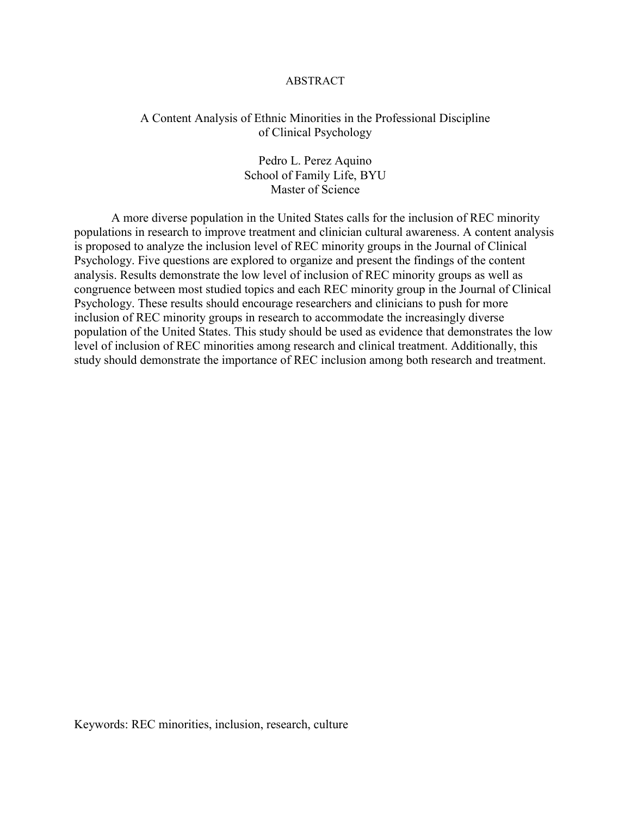#### ABSTRACT

### <span id="page-2-0"></span>A Content Analysis of Ethnic Minorities in the Professional Discipline of Clinical Psychology

Pedro L. Perez Aquino School of Family Life, BYU Master of Science

A more diverse population in the United States calls for the inclusion of REC minority populations in research to improve treatment and clinician cultural awareness. A content analysis is proposed to analyze the inclusion level of REC minority groups in the Journal of Clinical Psychology. Five questions are explored to organize and present the findings of the content analysis. Results demonstrate the low level of inclusion of REC minority groups as well as congruence between most studied topics and each REC minority group in the Journal of Clinical Psychology. These results should encourage researchers and clinicians to push for more inclusion of REC minority groups in research to accommodate the increasingly diverse population of the United States. This study should be used as evidence that demonstrates the low level of inclusion of REC minorities among research and clinical treatment. Additionally, this study should demonstrate the importance of REC inclusion among both research and treatment.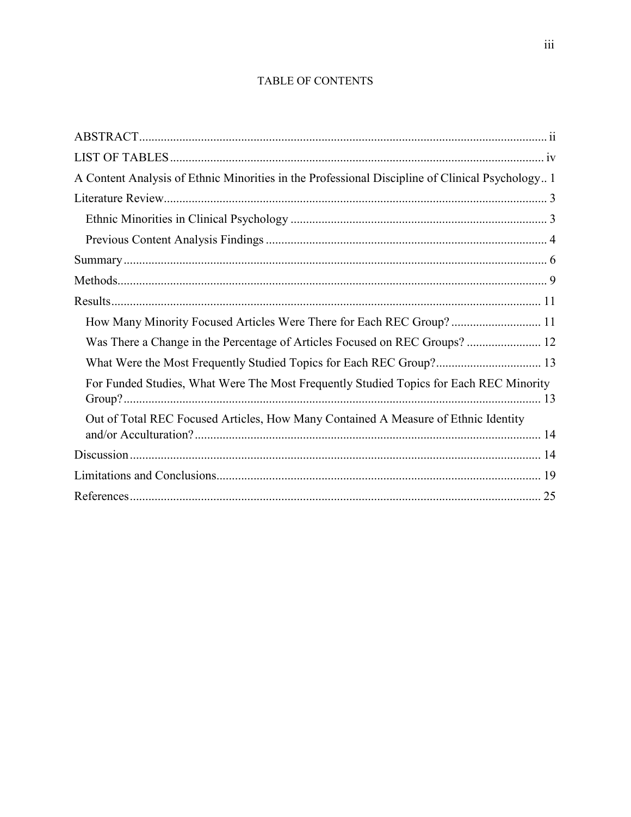## TABLE OF CONTENTS

<span id="page-3-0"></span>

| A Content Analysis of Ethnic Minorities in the Professional Discipline of Clinical Psychology 1 |
|-------------------------------------------------------------------------------------------------|
|                                                                                                 |
|                                                                                                 |
|                                                                                                 |
|                                                                                                 |
|                                                                                                 |
|                                                                                                 |
| How Many Minority Focused Articles Were There for Each REC Group? 11                            |
| Was There a Change in the Percentage of Articles Focused on REC Groups? 12                      |
| What Were the Most Frequently Studied Topics for Each REC Group? 13                             |
| For Funded Studies, What Were The Most Frequently Studied Topics for Each REC Minority          |
| Out of Total REC Focused Articles, How Many Contained A Measure of Ethnic Identity              |
|                                                                                                 |
|                                                                                                 |
|                                                                                                 |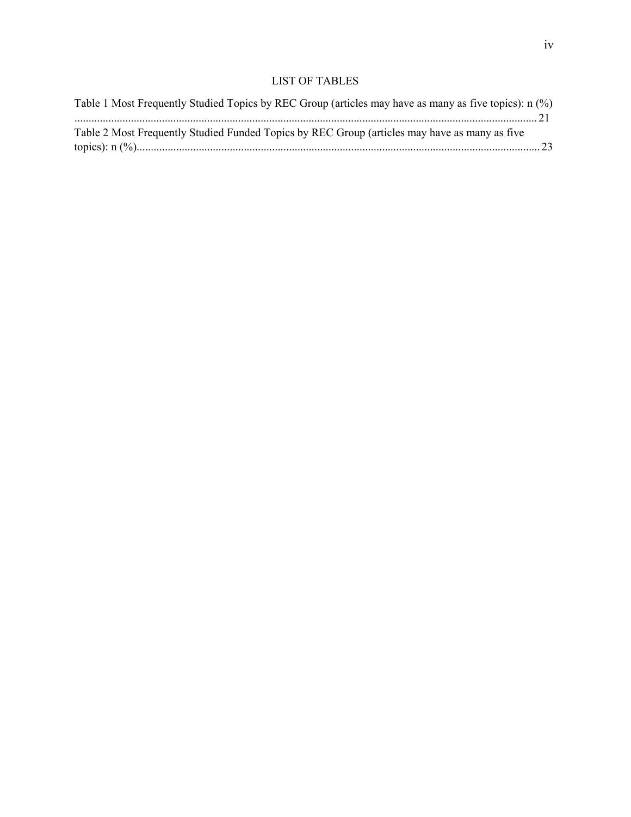### LIST OF TABLES

| Table 1 Most Frequently Studied Topics by REC Group (articles may have as many as five topics): n (%) |  |
|-------------------------------------------------------------------------------------------------------|--|
|                                                                                                       |  |
| Table 2 Most Frequently Studied Funded Topics by REC Group (articles may have as many as five         |  |
|                                                                                                       |  |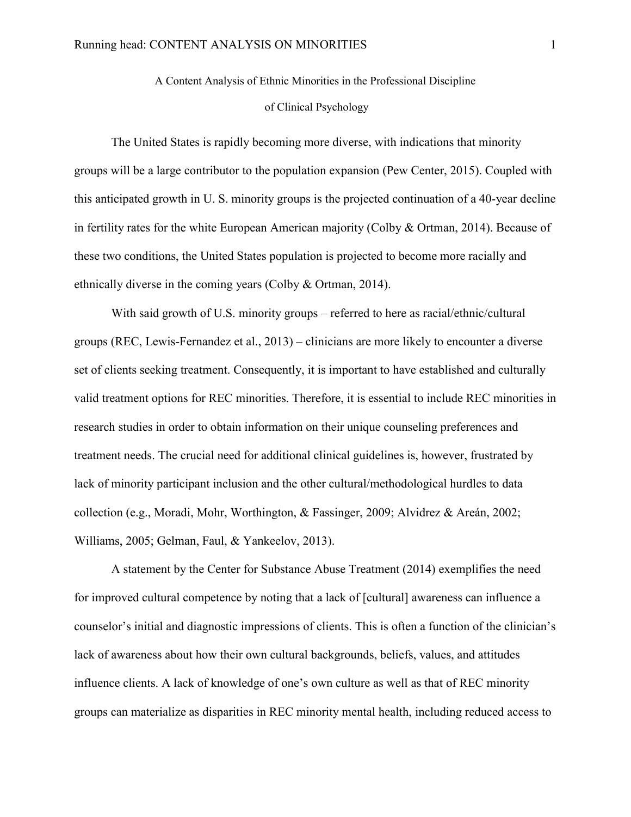#### of Clinical Psychology

<span id="page-5-0"></span>The United States is rapidly becoming more diverse, with indications that minority groups will be a large contributor to the population expansion (Pew Center, 2015). Coupled with this anticipated growth in U. S. minority groups is the projected continuation of a 40-year decline in fertility rates for the white European American majority (Colby & Ortman, 2014). Because of these two conditions, the United States population is projected to become more racially and ethnically diverse in the coming years (Colby & Ortman, 2014).

With said growth of U.S. minority groups – referred to here as racial/ethnic/cultural groups (REC, Lewis-Fernandez et al., 2013) – clinicians are more likely to encounter a diverse set of clients seeking treatment. Consequently, it is important to have established and culturally valid treatment options for REC minorities. Therefore, it is essential to include REC minorities in research studies in order to obtain information on their unique counseling preferences and treatment needs. The crucial need for additional clinical guidelines is, however, frustrated by lack of minority participant inclusion and the other cultural/methodological hurdles to data collection (e.g., Moradi, Mohr, Worthington, & Fassinger, 2009; Alvidrez & Areán, 2002; Williams, 2005; Gelman, Faul, & Yankeelov, 2013).

A statement by the Center for Substance Abuse Treatment (2014) exemplifies the need for improved cultural competence by noting that a lack of [cultural] awareness can influence a counselor's initial and diagnostic impressions of clients. This is often a function of the clinician's lack of awareness about how their own cultural backgrounds, beliefs, values, and attitudes influence clients. A lack of knowledge of one's own culture as well as that of REC minority groups can materialize as disparities in REC minority mental health, including reduced access to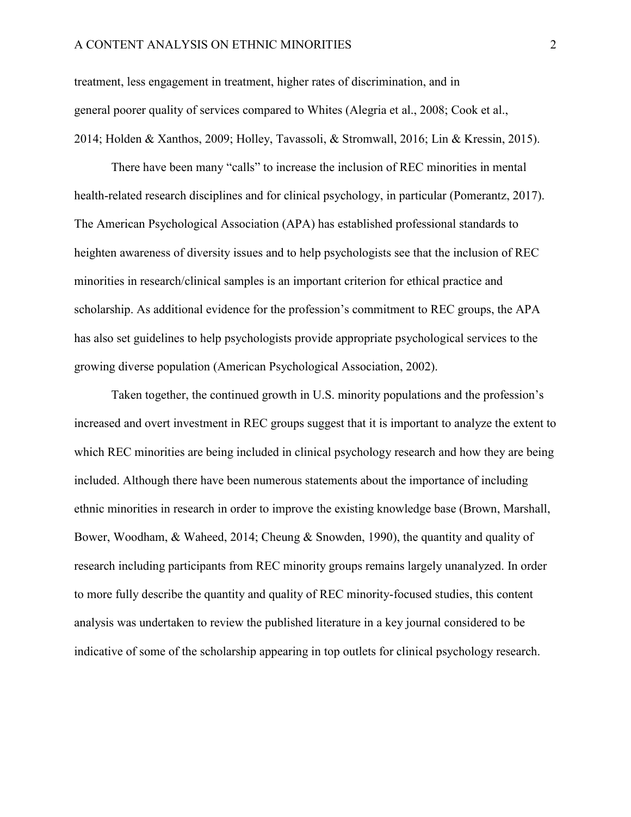#### A CONTENT ANALYSIS ON ETHNIC MINORITIES 2

treatment, less engagement in treatment, higher rates of discrimination, and in general poorer quality of services compared to Whites (Alegria et al., 2008; Cook et al., 2014; Holden & Xanthos, 2009; Holley, Tavassoli, & Stromwall, 2016; Lin & Kressin, 2015).

There have been many "calls" to increase the inclusion of REC minorities in mental health-related research disciplines and for clinical psychology, in particular (Pomerantz, 2017). The American Psychological Association (APA) has established professional standards to heighten awareness of diversity issues and to help psychologists see that the inclusion of REC minorities in research/clinical samples is an important criterion for ethical practice and scholarship. As additional evidence for the profession's commitment to REC groups, the APA has also set guidelines to help psychologists provide appropriate psychological services to the growing diverse population (American Psychological Association, 2002).

Taken together, the continued growth in U.S. minority populations and the profession's increased and overt investment in REC groups suggest that it is important to analyze the extent to which REC minorities are being included in clinical psychology research and how they are being included. Although there have been numerous statements about the importance of including ethnic minorities in research in order to improve the existing knowledge base (Brown, Marshall, Bower, Woodham, & Waheed, 2014; Cheung & Snowden, 1990), the quantity and quality of research including participants from REC minority groups remains largely unanalyzed. In order to more fully describe the quantity and quality of REC minority-focused studies, this content analysis was undertaken to review the published literature in a key journal considered to be indicative of some of the scholarship appearing in top outlets for clinical psychology research.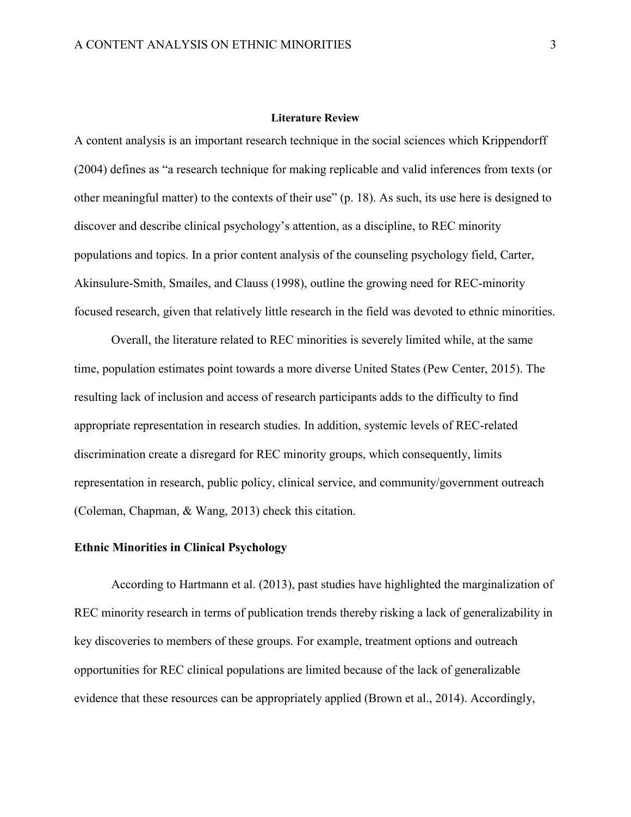#### **Literature Review**

<span id="page-7-0"></span>A content analysis is an important research technique in the social sciences which Krippendorff (2004) defines as "a research technique for making replicable and valid inferences from texts (or other meaningful matter) to the contexts of their use" (p. 18). As such, its use here is designed to discover and describe clinical psychology's attention, as a discipline, to REC minority populations and topics. In a prior content analysis of the counseling psychology field, Carter, Akinsulure-Smith, Smailes, and Clauss (1998), outline the growing need for REC-minority focused research, given that relatively little research in the field was devoted to ethnic minorities.

Overall, the literature related to REC minorities is severely limited while, at the same time, population estimates point towards a more diverse United States (Pew Center, 2015). The resulting lack of inclusion and access of research participants adds to the difficulty to find appropriate representation in research studies. In addition, systemic levels of REC-related discrimination create a disregard for REC minority groups, which consequently, limits representation in research, public policy, clinical service, and community/government outreach (Coleman, Chapman, & Wang, 2013) check this citation.

#### <span id="page-7-1"></span>**Ethnic Minorities in Clinical Psychology**

According to Hartmann et al. (2013), past studies have highlighted the marginalization of REC minority research in terms of publication trends thereby risking a lack of generalizability in key discoveries to members of these groups. For example, treatment options and outreach opportunities for REC clinical populations are limited because of the lack of generalizable evidence that these resources can be appropriately applied (Brown et al., 2014). Accordingly,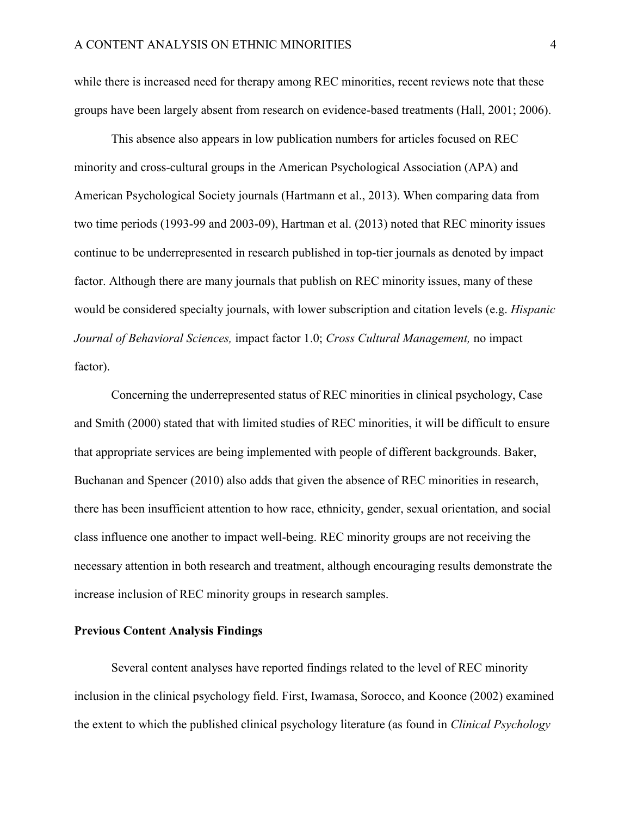while there is increased need for therapy among REC minorities, recent reviews note that these groups have been largely absent from research on evidence-based treatments (Hall, 2001; 2006).

This absence also appears in low publication numbers for articles focused on REC minority and cross-cultural groups in the American Psychological Association (APA) and American Psychological Society journals (Hartmann et al., 2013). When comparing data from two time periods (1993-99 and 2003-09), Hartman et al. (2013) noted that REC minority issues continue to be underrepresented in research published in top-tier journals as denoted by impact factor. Although there are many journals that publish on REC minority issues, many of these would be considered specialty journals, with lower subscription and citation levels (e.g. *Hispanic Journal of Behavioral Sciences,* impact factor 1.0; *Cross Cultural Management,* no impact factor).

Concerning the underrepresented status of REC minorities in clinical psychology, Case and Smith (2000) stated that with limited studies of REC minorities, it will be difficult to ensure that appropriate services are being implemented with people of different backgrounds. Baker, Buchanan and Spencer (2010) also adds that given the absence of REC minorities in research, there has been insufficient attention to how race, ethnicity, gender, sexual orientation, and social class influence one another to impact well-being. REC minority groups are not receiving the necessary attention in both research and treatment, although encouraging results demonstrate the increase inclusion of REC minority groups in research samples.

#### <span id="page-8-0"></span>**Previous Content Analysis Findings**

Several content analyses have reported findings related to the level of REC minority inclusion in the clinical psychology field. First, Iwamasa, Sorocco, and Koonce (2002) examined the extent to which the published clinical psychology literature (as found in *Clinical Psychology*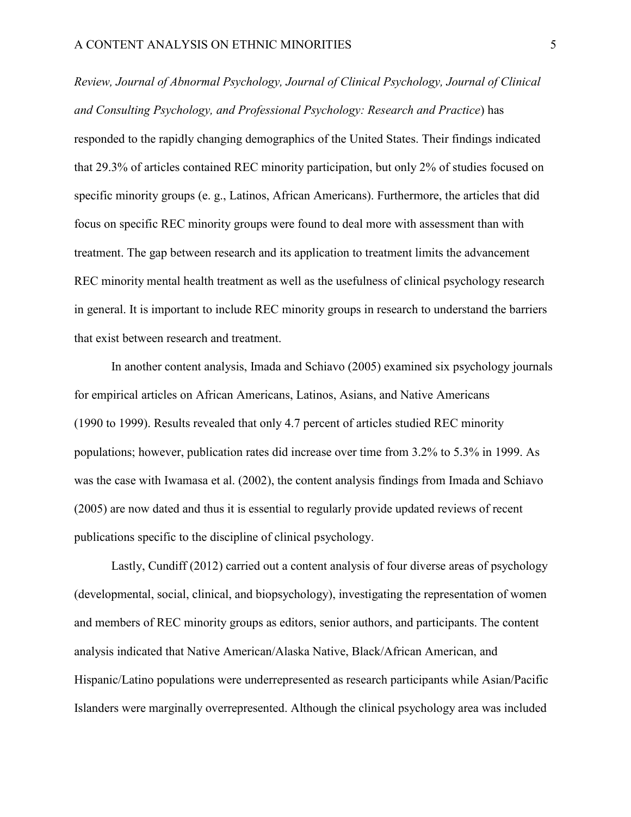*Review, Journal of Abnormal Psychology, Journal of Clinical Psychology, Journal of Clinical and Consulting Psychology, and Professional Psychology: Research and Practice*) has responded to the rapidly changing demographics of the United States. Their findings indicated that 29.3% of articles contained REC minority participation, but only 2% of studies focused on specific minority groups (e. g., Latinos, African Americans). Furthermore, the articles that did focus on specific REC minority groups were found to deal more with assessment than with treatment. The gap between research and its application to treatment limits the advancement REC minority mental health treatment as well as the usefulness of clinical psychology research in general. It is important to include REC minority groups in research to understand the barriers that exist between research and treatment.

In another content analysis, Imada and Schiavo (2005) examined six psychology journals for empirical articles on African Americans, Latinos, Asians, and Native Americans (1990 to 1999). Results revealed that only 4.7 percent of articles studied REC minority populations; however, publication rates did increase over time from 3.2% to 5.3% in 1999. As was the case with Iwamasa et al. (2002), the content analysis findings from Imada and Schiavo (2005) are now dated and thus it is essential to regularly provide updated reviews of recent publications specific to the discipline of clinical psychology.

Lastly, Cundiff (2012) carried out a content analysis of four diverse areas of psychology (developmental, social, clinical, and biopsychology), investigating the representation of women and members of REC minority groups as editors, senior authors, and participants. The content analysis indicated that Native American/Alaska Native, Black/African American, and Hispanic/Latino populations were underrepresented as research participants while Asian/Pacific Islanders were marginally overrepresented. Although the clinical psychology area was included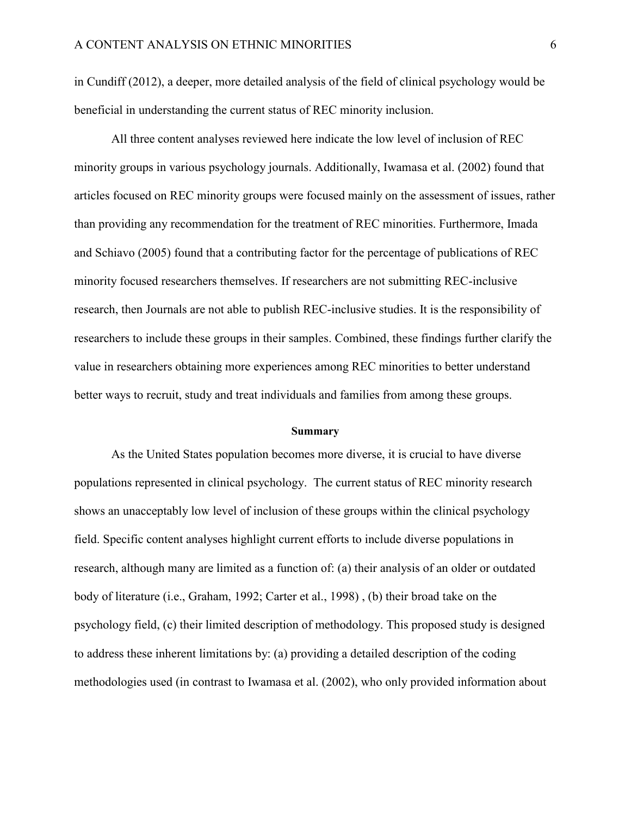in Cundiff (2012), a deeper, more detailed analysis of the field of clinical psychology would be beneficial in understanding the current status of REC minority inclusion.

All three content analyses reviewed here indicate the low level of inclusion of REC minority groups in various psychology journals. Additionally, Iwamasa et al. (2002) found that articles focused on REC minority groups were focused mainly on the assessment of issues, rather than providing any recommendation for the treatment of REC minorities. Furthermore, Imada and Schiavo (2005) found that a contributing factor for the percentage of publications of REC minority focused researchers themselves. If researchers are not submitting REC-inclusive research, then Journals are not able to publish REC-inclusive studies. It is the responsibility of researchers to include these groups in their samples. Combined, these findings further clarify the value in researchers obtaining more experiences among REC minorities to better understand better ways to recruit, study and treat individuals and families from among these groups.

#### **Summary**

<span id="page-10-0"></span>As the United States population becomes more diverse, it is crucial to have diverse populations represented in clinical psychology. The current status of REC minority research shows an unacceptably low level of inclusion of these groups within the clinical psychology field. Specific content analyses highlight current efforts to include diverse populations in research, although many are limited as a function of: (a) their analysis of an older or outdated body of literature (i.e., Graham, 1992; Carter et al., 1998) , (b) their broad take on the psychology field, (c) their limited description of methodology. This proposed study is designed to address these inherent limitations by: (a) providing a detailed description of the coding methodologies used (in contrast to Iwamasa et al. (2002), who only provided information about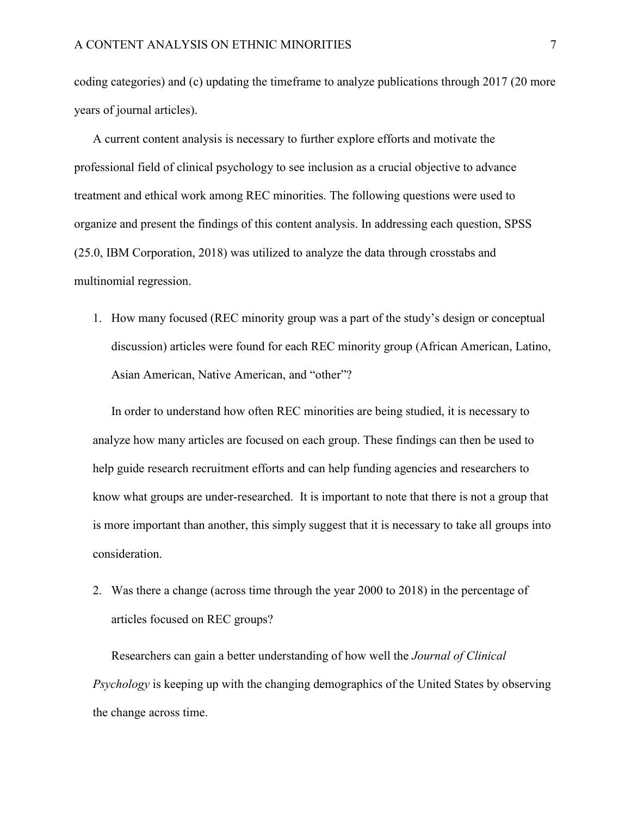coding categories) and (c) updating the timeframe to analyze publications through 2017 (20 more years of journal articles).

A current content analysis is necessary to further explore efforts and motivate the professional field of clinical psychology to see inclusion as a crucial objective to advance treatment and ethical work among REC minorities. The following questions were used to organize and present the findings of this content analysis. In addressing each question, SPSS (25.0, IBM Corporation, 2018) was utilized to analyze the data through crosstabs and multinomial regression.

1. How many focused (REC minority group was a part of the study's design or conceptual discussion) articles were found for each REC minority group (African American, Latino, Asian American, Native American, and "other"?

In order to understand how often REC minorities are being studied, it is necessary to analyze how many articles are focused on each group. These findings can then be used to help guide research recruitment efforts and can help funding agencies and researchers to know what groups are under-researched. It is important to note that there is not a group that is more important than another, this simply suggest that it is necessary to take all groups into consideration.

2. Was there a change (across time through the year 2000 to 2018) in the percentage of articles focused on REC groups?

Researchers can gain a better understanding of how well the *Journal of Clinical Psychology* is keeping up with the changing demographics of the United States by observing the change across time.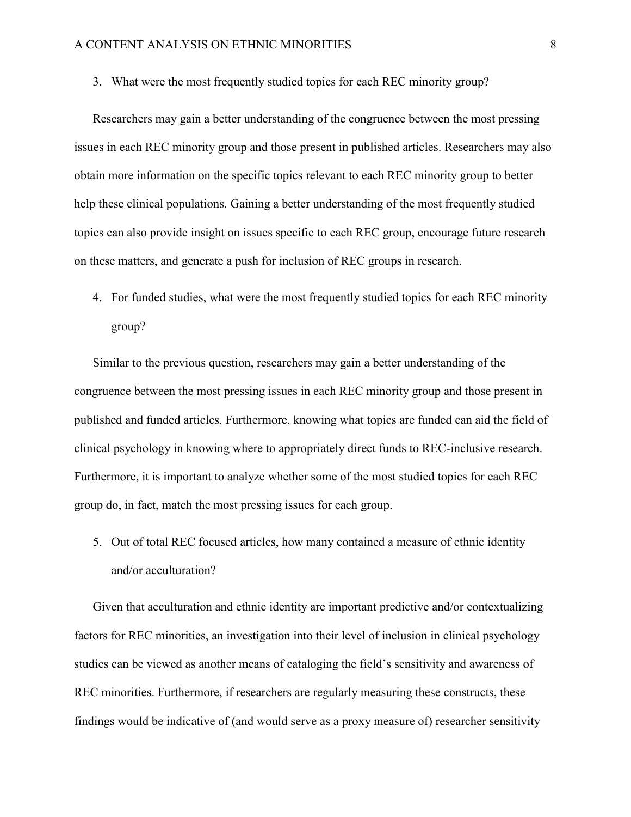3. What were the most frequently studied topics for each REC minority group?

Researchers may gain a better understanding of the congruence between the most pressing issues in each REC minority group and those present in published articles. Researchers may also obtain more information on the specific topics relevant to each REC minority group to better help these clinical populations. Gaining a better understanding of the most frequently studied topics can also provide insight on issues specific to each REC group, encourage future research on these matters, and generate a push for inclusion of REC groups in research.

4. For funded studies, what were the most frequently studied topics for each REC minority group?

Similar to the previous question, researchers may gain a better understanding of the congruence between the most pressing issues in each REC minority group and those present in published and funded articles. Furthermore, knowing what topics are funded can aid the field of clinical psychology in knowing where to appropriately direct funds to REC-inclusive research. Furthermore, it is important to analyze whether some of the most studied topics for each REC group do, in fact, match the most pressing issues for each group.

5. Out of total REC focused articles, how many contained a measure of ethnic identity and/or acculturation?

Given that acculturation and ethnic identity are important predictive and/or contextualizing factors for REC minorities, an investigation into their level of inclusion in clinical psychology studies can be viewed as another means of cataloging the field's sensitivity and awareness of REC minorities. Furthermore, if researchers are regularly measuring these constructs, these findings would be indicative of (and would serve as a proxy measure of) researcher sensitivity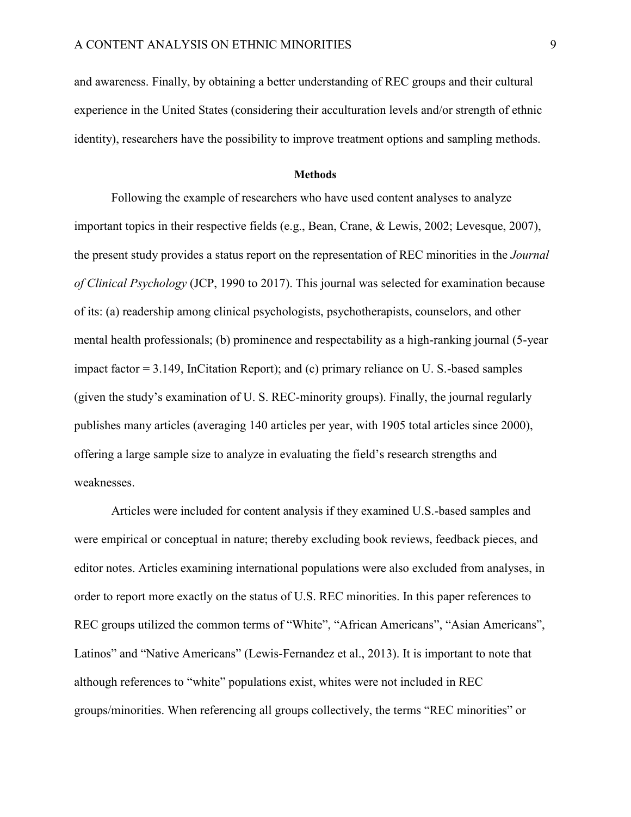and awareness. Finally, by obtaining a better understanding of REC groups and their cultural experience in the United States (considering their acculturation levels and/or strength of ethnic identity), researchers have the possibility to improve treatment options and sampling methods.

#### **Methods**

<span id="page-13-0"></span>Following the example of researchers who have used content analyses to analyze important topics in their respective fields (e.g., Bean, Crane, & Lewis, 2002; Levesque, 2007), the present study provides a status report on the representation of REC minorities in the *Journal of Clinical Psychology* (JCP, 1990 to 2017). This journal was selected for examination because of its: (a) readership among clinical psychologists, psychotherapists, counselors, and other mental health professionals; (b) prominence and respectability as a high-ranking journal (5-year impact factor = 3.149, InCitation Report); and (c) primary reliance on U. S.-based samples (given the study's examination of U. S. REC-minority groups). Finally, the journal regularly publishes many articles (averaging 140 articles per year, with 1905 total articles since 2000), offering a large sample size to analyze in evaluating the field's research strengths and weaknesses.

Articles were included for content analysis if they examined U.S.-based samples and were empirical or conceptual in nature; thereby excluding book reviews, feedback pieces, and editor notes. Articles examining international populations were also excluded from analyses, in order to report more exactly on the status of U.S. REC minorities. In this paper references to REC groups utilized the common terms of "White", "African Americans", "Asian Americans", Latinos" and "Native Americans" (Lewis-Fernandez et al., 2013). It is important to note that although references to "white" populations exist, whites were not included in REC groups/minorities. When referencing all groups collectively, the terms "REC minorities" or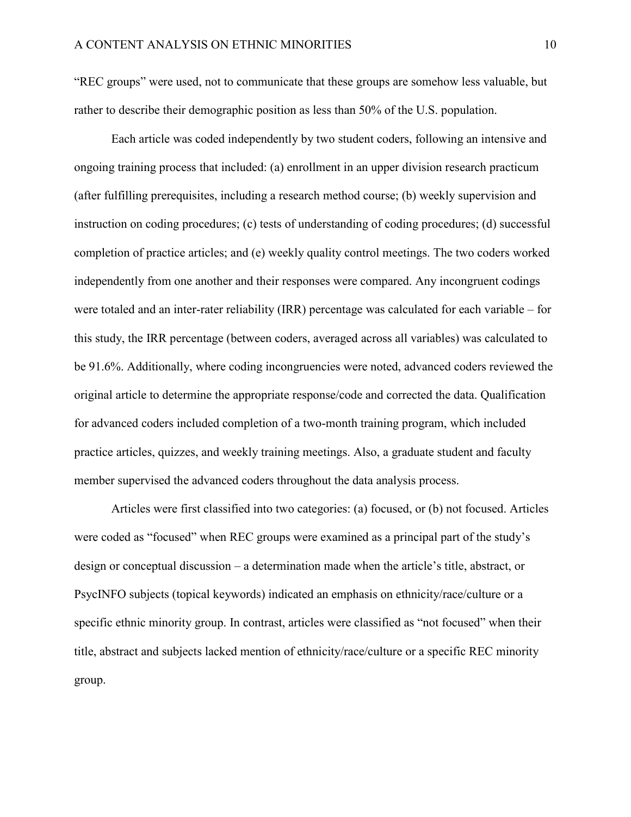"REC groups" were used, not to communicate that these groups are somehow less valuable, but rather to describe their demographic position as less than 50% of the U.S. population.

Each article was coded independently by two student coders, following an intensive and ongoing training process that included: (a) enrollment in an upper division research practicum (after fulfilling prerequisites, including a research method course; (b) weekly supervision and instruction on coding procedures; (c) tests of understanding of coding procedures; (d) successful completion of practice articles; and (e) weekly quality control meetings. The two coders worked independently from one another and their responses were compared. Any incongruent codings were totaled and an inter-rater reliability (IRR) percentage was calculated for each variable – for this study, the IRR percentage (between coders, averaged across all variables) was calculated to be 91.6%. Additionally, where coding incongruencies were noted, advanced coders reviewed the original article to determine the appropriate response/code and corrected the data. Qualification for advanced coders included completion of a two-month training program, which included practice articles, quizzes, and weekly training meetings. Also, a graduate student and faculty member supervised the advanced coders throughout the data analysis process.

Articles were first classified into two categories: (a) focused, or (b) not focused. Articles were coded as "focused" when REC groups were examined as a principal part of the study's design or conceptual discussion – a determination made when the article's title, abstract, or PsycINFO subjects (topical keywords) indicated an emphasis on ethnicity/race/culture or a specific ethnic minority group. In contrast, articles were classified as "not focused" when their title, abstract and subjects lacked mention of ethnicity/race/culture or a specific REC minority group.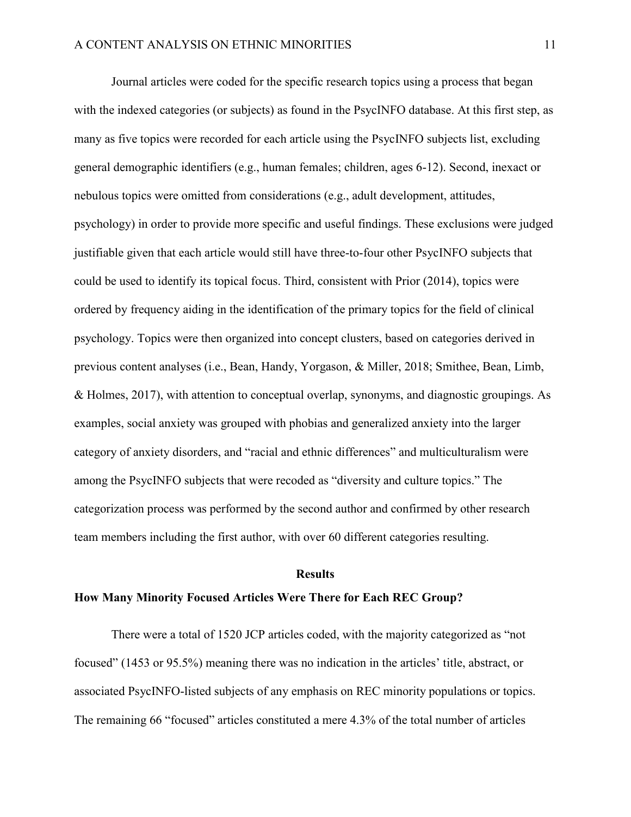Journal articles were coded for the specific research topics using a process that began with the indexed categories (or subjects) as found in the PsycINFO database. At this first step, as many as five topics were recorded for each article using the PsycINFO subjects list, excluding general demographic identifiers (e.g., human females; children, ages 6-12). Second, inexact or nebulous topics were omitted from considerations (e.g., adult development, attitudes, psychology) in order to provide more specific and useful findings. These exclusions were judged justifiable given that each article would still have three-to-four other PsycINFO subjects that could be used to identify its topical focus. Third, consistent with Prior (2014), topics were ordered by frequency aiding in the identification of the primary topics for the field of clinical psychology. Topics were then organized into concept clusters, based on categories derived in previous content analyses (i.e., Bean, Handy, Yorgason, & Miller, 2018; Smithee, Bean, Limb, & Holmes, 2017), with attention to conceptual overlap, synonyms, and diagnostic groupings. As examples, social anxiety was grouped with phobias and generalized anxiety into the larger category of anxiety disorders, and "racial and ethnic differences" and multiculturalism were among the PsycINFO subjects that were recoded as "diversity and culture topics." The categorization process was performed by the second author and confirmed by other research team members including the first author, with over 60 different categories resulting.

#### **Results**

#### <span id="page-15-1"></span><span id="page-15-0"></span>**How Many Minority Focused Articles Were There for Each REC Group?**

There were a total of 1520 JCP articles coded, with the majority categorized as "not focused" (1453 or 95.5%) meaning there was no indication in the articles' title, abstract, or associated PsycINFO-listed subjects of any emphasis on REC minority populations or topics. The remaining 66 "focused" articles constituted a mere 4.3% of the total number of articles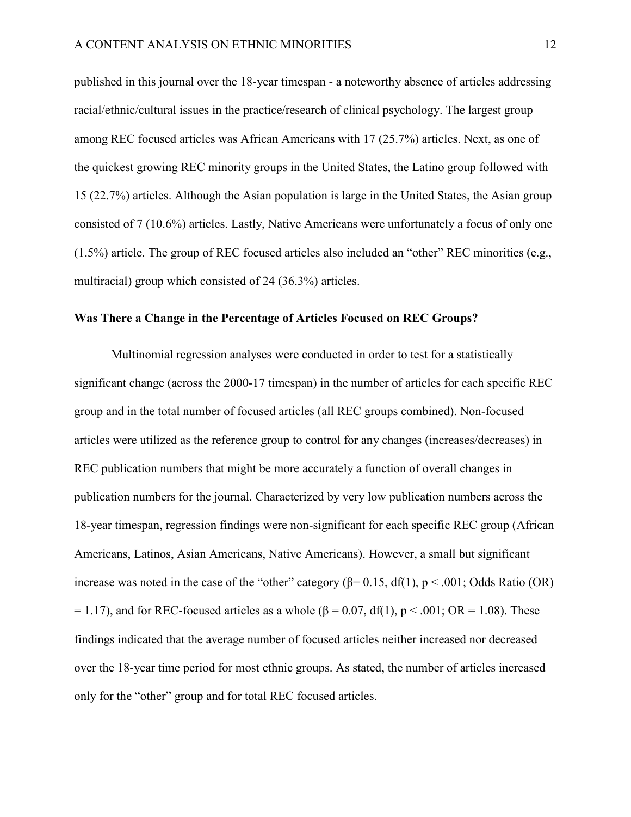published in this journal over the 18-year timespan - a noteworthy absence of articles addressing racial/ethnic/cultural issues in the practice/research of clinical psychology. The largest group among REC focused articles was African Americans with 17 (25.7%) articles. Next, as one of the quickest growing REC minority groups in the United States, the Latino group followed with 15 (22.7%) articles. Although the Asian population is large in the United States, the Asian group consisted of 7 (10.6%) articles. Lastly, Native Americans were unfortunately a focus of only one (1.5%) article. The group of REC focused articles also included an "other" REC minorities (e.g., multiracial) group which consisted of 24 (36.3%) articles.

### <span id="page-16-0"></span>**Was There a Change in the Percentage of Articles Focused on REC Groups?**

Multinomial regression analyses were conducted in order to test for a statistically significant change (across the 2000-17 timespan) in the number of articles for each specific REC group and in the total number of focused articles (all REC groups combined). Non-focused articles were utilized as the reference group to control for any changes (increases/decreases) in REC publication numbers that might be more accurately a function of overall changes in publication numbers for the journal. Characterized by very low publication numbers across the 18-year timespan, regression findings were non-significant for each specific REC group (African Americans, Latinos, Asian Americans, Native Americans). However, a small but significant increase was noted in the case of the "other" category ( $\beta$ = 0.15, df(1), p < .001; Odds Ratio (OR) = 1.17), and for REC-focused articles as a whole ( $\beta$  = 0.07, df(1), p < .001; OR = 1.08). These findings indicated that the average number of focused articles neither increased nor decreased over the 18-year time period for most ethnic groups. As stated, the number of articles increased only for the "other" group and for total REC focused articles.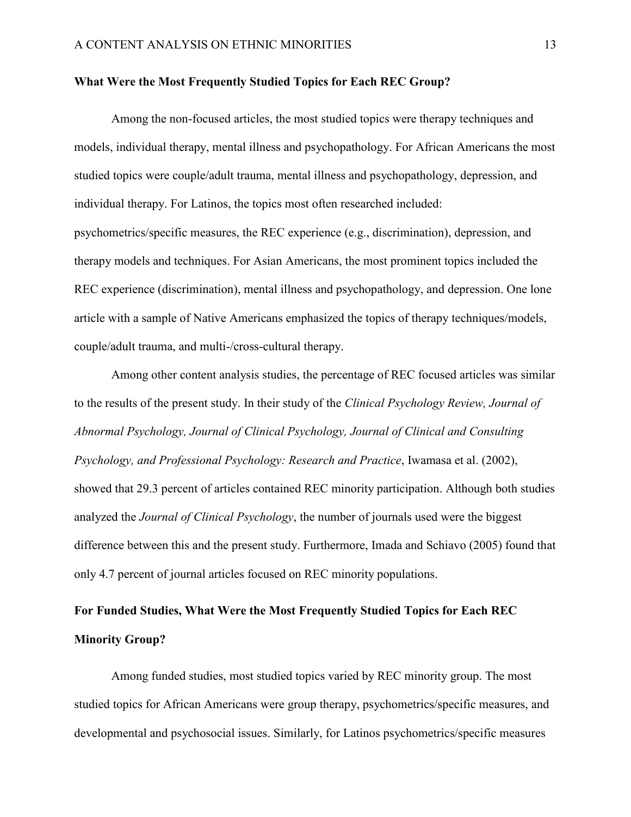#### <span id="page-17-0"></span>**What Were the Most Frequently Studied Topics for Each REC Group?**

Among the non-focused articles, the most studied topics were therapy techniques and models, individual therapy, mental illness and psychopathology. For African Americans the most studied topics were couple/adult trauma, mental illness and psychopathology, depression, and individual therapy. For Latinos, the topics most often researched included: psychometrics/specific measures, the REC experience (e.g., discrimination), depression, and therapy models and techniques. For Asian Americans, the most prominent topics included the REC experience (discrimination), mental illness and psychopathology, and depression. One lone article with a sample of Native Americans emphasized the topics of therapy techniques/models, couple/adult trauma, and multi-/cross-cultural therapy.

Among other content analysis studies, the percentage of REC focused articles was similar to the results of the present study. In their study of the *Clinical Psychology Review, Journal of Abnormal Psychology, Journal of Clinical Psychology, Journal of Clinical and Consulting Psychology, and Professional Psychology: Research and Practice*, Iwamasa et al. (2002), showed that 29.3 percent of articles contained REC minority participation. Although both studies analyzed the *Journal of Clinical Psychology*, the number of journals used were the biggest difference between this and the present study. Furthermore, Imada and Schiavo (2005) found that only 4.7 percent of journal articles focused on REC minority populations.

# <span id="page-17-1"></span>**For Funded Studies, What Were the Most Frequently Studied Topics for Each REC Minority Group?**

Among funded studies, most studied topics varied by REC minority group. The most studied topics for African Americans were group therapy, psychometrics/specific measures, and developmental and psychosocial issues. Similarly, for Latinos psychometrics/specific measures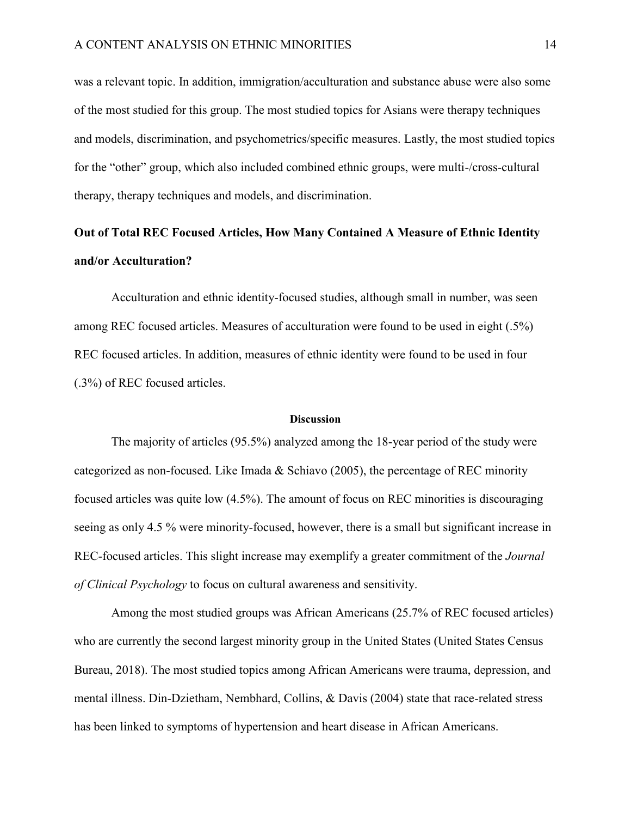was a relevant topic. In addition, immigration/acculturation and substance abuse were also some of the most studied for this group. The most studied topics for Asians were therapy techniques and models, discrimination, and psychometrics/specific measures. Lastly, the most studied topics for the "other" group, which also included combined ethnic groups, were multi-/cross-cultural therapy, therapy techniques and models, and discrimination.

# <span id="page-18-0"></span>**Out of Total REC Focused Articles, How Many Contained A Measure of Ethnic Identity and/or Acculturation?**

Acculturation and ethnic identity-focused studies, although small in number, was seen among REC focused articles. Measures of acculturation were found to be used in eight (.5%) REC focused articles. In addition, measures of ethnic identity were found to be used in four (.3%) of REC focused articles.

#### **Discussion**

<span id="page-18-1"></span>The majority of articles (95.5%) analyzed among the 18-year period of the study were categorized as non-focused. Like Imada & Schiavo (2005), the percentage of REC minority focused articles was quite low (4.5%). The amount of focus on REC minorities is discouraging seeing as only 4.5 % were minority-focused, however, there is a small but significant increase in REC-focused articles. This slight increase may exemplify a greater commitment of the *Journal of Clinical Psychology* to focus on cultural awareness and sensitivity.

Among the most studied groups was African Americans (25.7% of REC focused articles) who are currently the second largest minority group in the United States (United States Census Bureau, 2018). The most studied topics among African Americans were trauma, depression, and mental illness. Din-Dzietham, Nembhard, Collins, & Davis (2004) state that race-related stress has been linked to symptoms of hypertension and heart disease in African Americans.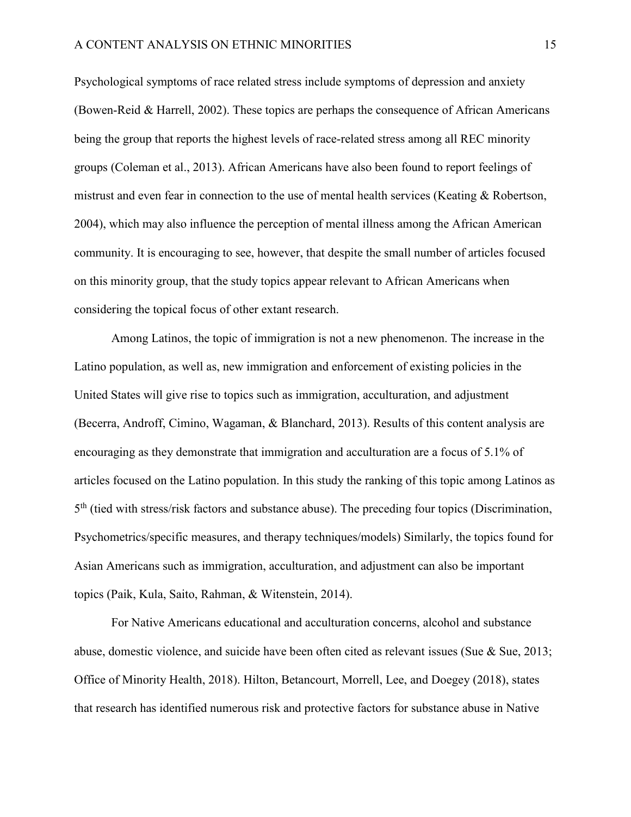Psychological symptoms of race related stress include symptoms of depression and anxiety (Bowen-Reid & Harrell, 2002). These topics are perhaps the consequence of African Americans being the group that reports the highest levels of race-related stress among all REC minority groups (Coleman et al., 2013). African Americans have also been found to report feelings of mistrust and even fear in connection to the use of mental health services (Keating & Robertson, 2004), which may also influence the perception of mental illness among the African American community. It is encouraging to see, however, that despite the small number of articles focused on this minority group, that the study topics appear relevant to African Americans when considering the topical focus of other extant research.

Among Latinos, the topic of immigration is not a new phenomenon. The increase in the Latino population, as well as, new immigration and enforcement of existing policies in the United States will give rise to topics such as immigration, acculturation, and adjustment (Becerra, Androff, Cimino, Wagaman, & Blanchard, 2013). Results of this content analysis are encouraging as they demonstrate that immigration and acculturation are a focus of 5.1% of articles focused on the Latino population. In this study the ranking of this topic among Latinos as 5<sup>th</sup> (tied with stress/risk factors and substance abuse). The preceding four topics (Discrimination, Psychometrics/specific measures, and therapy techniques/models) Similarly, the topics found for Asian Americans such as immigration, acculturation, and adjustment can also be important topics (Paik, Kula, Saito, Rahman, & Witenstein, 2014).

For Native Americans educational and acculturation concerns, alcohol and substance abuse, domestic violence, and suicide have been often cited as relevant issues (Sue & Sue, 2013; Office of Minority Health, 2018). Hilton, Betancourt, Morrell, Lee, and Doegey (2018), states that research has identified numerous risk and protective factors for substance abuse in Native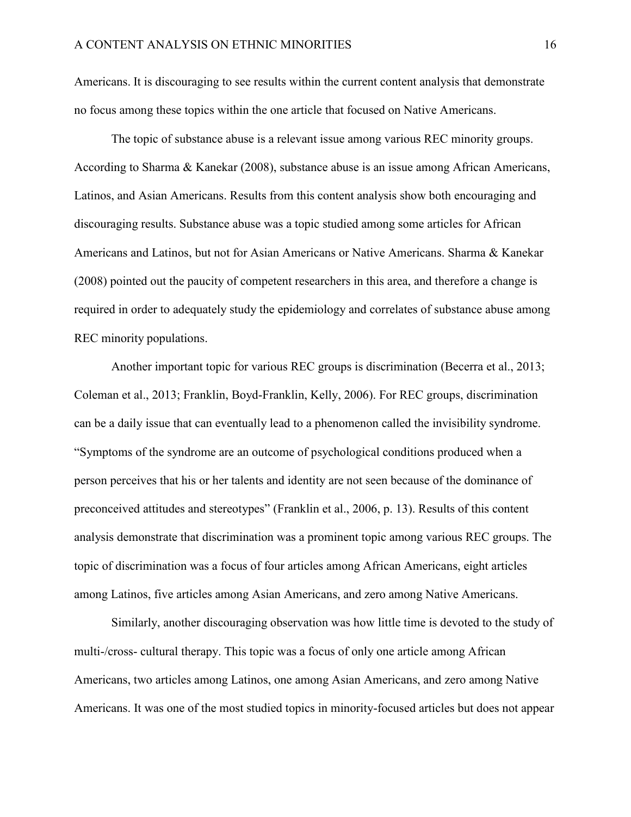Americans. It is discouraging to see results within the current content analysis that demonstrate no focus among these topics within the one article that focused on Native Americans.

The topic of substance abuse is a relevant issue among various REC minority groups. According to Sharma & Kanekar (2008), substance abuse is an issue among African Americans, Latinos, and Asian Americans. Results from this content analysis show both encouraging and discouraging results. Substance abuse was a topic studied among some articles for African Americans and Latinos, but not for Asian Americans or Native Americans. Sharma & Kanekar (2008) pointed out the paucity of competent researchers in this area, and therefore a change is required in order to adequately study the epidemiology and correlates of substance abuse among REC minority populations.

Another important topic for various REC groups is discrimination (Becerra et al., 2013; Coleman et al., 2013; Franklin, Boyd-Franklin, Kelly, 2006). For REC groups, discrimination can be a daily issue that can eventually lead to a phenomenon called the invisibility syndrome. "Symptoms of the syndrome are an outcome of psychological conditions produced when a person perceives that his or her talents and identity are not seen because of the dominance of preconceived attitudes and stereotypes" (Franklin et al., 2006, p. 13). Results of this content analysis demonstrate that discrimination was a prominent topic among various REC groups. The topic of discrimination was a focus of four articles among African Americans, eight articles among Latinos, five articles among Asian Americans, and zero among Native Americans.

Similarly, another discouraging observation was how little time is devoted to the study of multi-/cross- cultural therapy. This topic was a focus of only one article among African Americans, two articles among Latinos, one among Asian Americans, and zero among Native Americans. It was one of the most studied topics in minority-focused articles but does not appear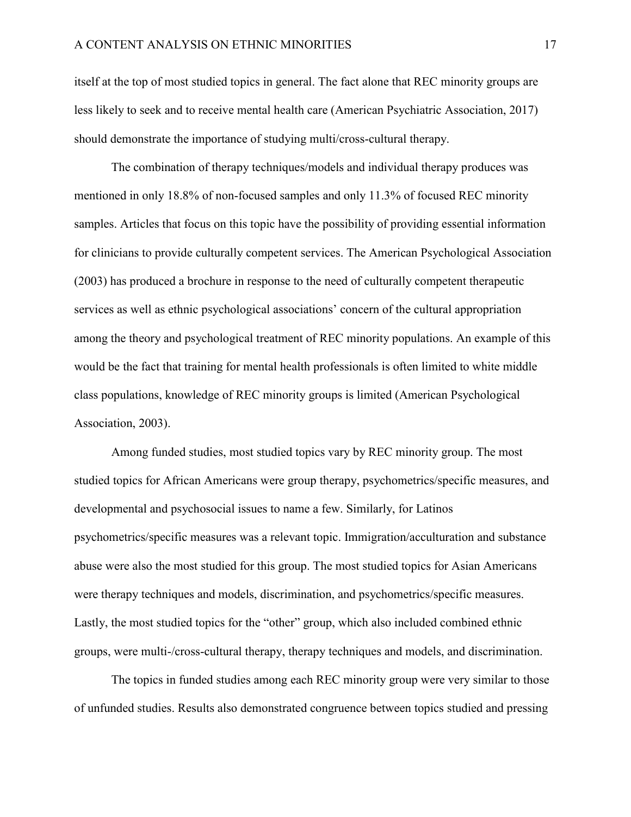itself at the top of most studied topics in general. The fact alone that REC minority groups are less likely to seek and to receive mental health care (American Psychiatric Association, 2017) should demonstrate the importance of studying multi/cross-cultural therapy.

The combination of therapy techniques/models and individual therapy produces was mentioned in only 18.8% of non-focused samples and only 11.3% of focused REC minority samples. Articles that focus on this topic have the possibility of providing essential information for clinicians to provide culturally competent services. The American Psychological Association (2003) has produced a brochure in response to the need of culturally competent therapeutic services as well as ethnic psychological associations' concern of the cultural appropriation among the theory and psychological treatment of REC minority populations. An example of this would be the fact that training for mental health professionals is often limited to white middle class populations, knowledge of REC minority groups is limited (American Psychological Association, 2003).

Among funded studies, most studied topics vary by REC minority group. The most studied topics for African Americans were group therapy, psychometrics/specific measures, and developmental and psychosocial issues to name a few. Similarly, for Latinos psychometrics/specific measures was a relevant topic. Immigration/acculturation and substance abuse were also the most studied for this group. The most studied topics for Asian Americans were therapy techniques and models, discrimination, and psychometrics/specific measures. Lastly, the most studied topics for the "other" group, which also included combined ethnic groups, were multi-/cross-cultural therapy, therapy techniques and models, and discrimination.

The topics in funded studies among each REC minority group were very similar to those of unfunded studies. Results also demonstrated congruence between topics studied and pressing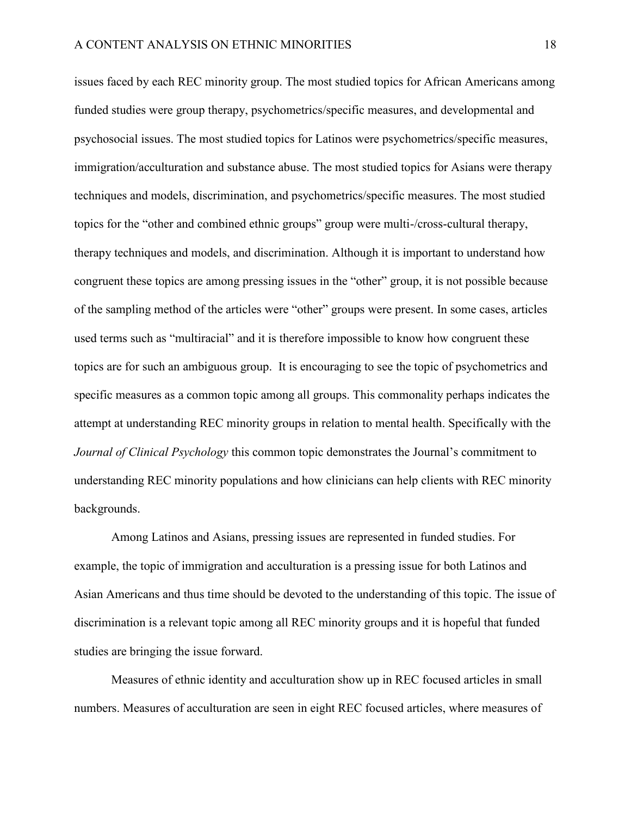issues faced by each REC minority group. The most studied topics for African Americans among funded studies were group therapy, psychometrics/specific measures, and developmental and psychosocial issues. The most studied topics for Latinos were psychometrics/specific measures, immigration/acculturation and substance abuse. The most studied topics for Asians were therapy techniques and models, discrimination, and psychometrics/specific measures. The most studied topics for the "other and combined ethnic groups" group were multi-/cross-cultural therapy, therapy techniques and models, and discrimination. Although it is important to understand how congruent these topics are among pressing issues in the "other" group, it is not possible because of the sampling method of the articles were "other" groups were present. In some cases, articles used terms such as "multiracial" and it is therefore impossible to know how congruent these topics are for such an ambiguous group. It is encouraging to see the topic of psychometrics and specific measures as a common topic among all groups. This commonality perhaps indicates the attempt at understanding REC minority groups in relation to mental health. Specifically with the *Journal of Clinical Psychology* this common topic demonstrates the Journal's commitment to understanding REC minority populations and how clinicians can help clients with REC minority backgrounds.

Among Latinos and Asians, pressing issues are represented in funded studies. For example, the topic of immigration and acculturation is a pressing issue for both Latinos and Asian Americans and thus time should be devoted to the understanding of this topic. The issue of discrimination is a relevant topic among all REC minority groups and it is hopeful that funded studies are bringing the issue forward.

Measures of ethnic identity and acculturation show up in REC focused articles in small numbers. Measures of acculturation are seen in eight REC focused articles, where measures of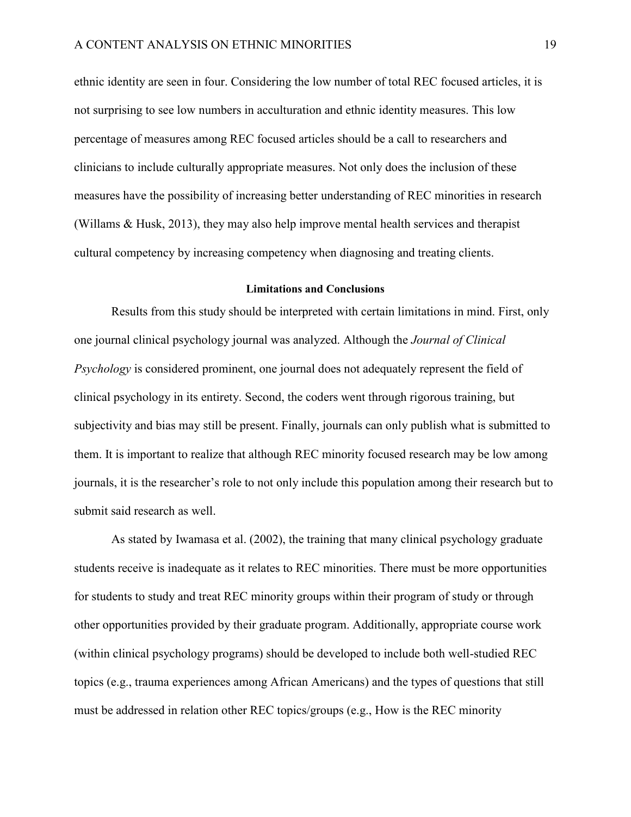ethnic identity are seen in four. Considering the low number of total REC focused articles, it is not surprising to see low numbers in acculturation and ethnic identity measures. This low percentage of measures among REC focused articles should be a call to researchers and clinicians to include culturally appropriate measures. Not only does the inclusion of these measures have the possibility of increasing better understanding of REC minorities in research (Willams & Husk, 2013), they may also help improve mental health services and therapist cultural competency by increasing competency when diagnosing and treating clients.

#### **Limitations and Conclusions**

<span id="page-23-0"></span>Results from this study should be interpreted with certain limitations in mind. First, only one journal clinical psychology journal was analyzed. Although the *Journal of Clinical Psychology* is considered prominent, one journal does not adequately represent the field of clinical psychology in its entirety. Second, the coders went through rigorous training, but subjectivity and bias may still be present. Finally, journals can only publish what is submitted to them. It is important to realize that although REC minority focused research may be low among journals, it is the researcher's role to not only include this population among their research but to submit said research as well.

As stated by Iwamasa et al. (2002), the training that many clinical psychology graduate students receive is inadequate as it relates to REC minorities. There must be more opportunities for students to study and treat REC minority groups within their program of study or through other opportunities provided by their graduate program. Additionally, appropriate course work (within clinical psychology programs) should be developed to include both well-studied REC topics (e.g., trauma experiences among African Americans) and the types of questions that still must be addressed in relation other REC topics/groups (e.g., How is the REC minority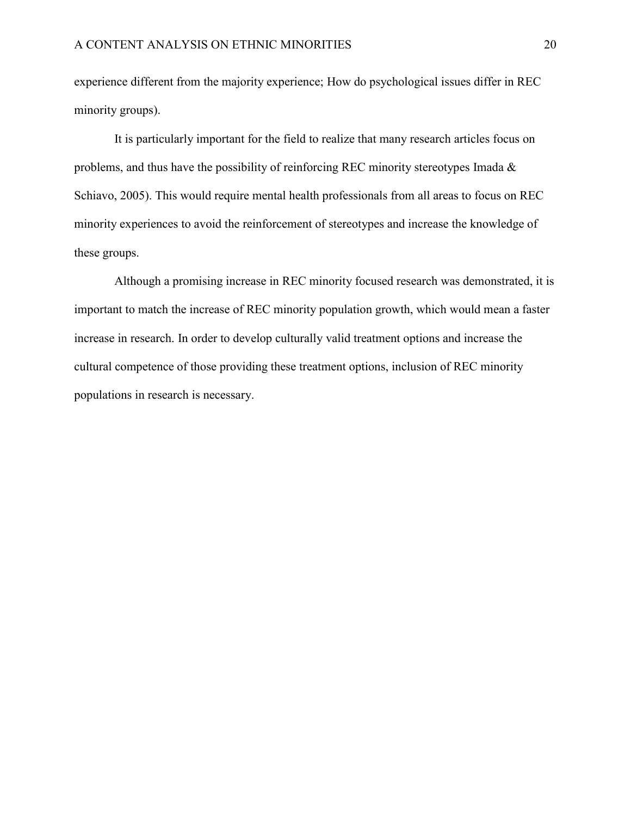experience different from the majority experience; How do psychological issues differ in REC minority groups).

It is particularly important for the field to realize that many research articles focus on problems, and thus have the possibility of reinforcing REC minority stereotypes Imada & Schiavo, 2005). This would require mental health professionals from all areas to focus on REC minority experiences to avoid the reinforcement of stereotypes and increase the knowledge of these groups.

Although a promising increase in REC minority focused research was demonstrated, it is important to match the increase of REC minority population growth, which would mean a faster increase in research. In order to develop culturally valid treatment options and increase the cultural competence of those providing these treatment options, inclusion of REC minority populations in research is necessary.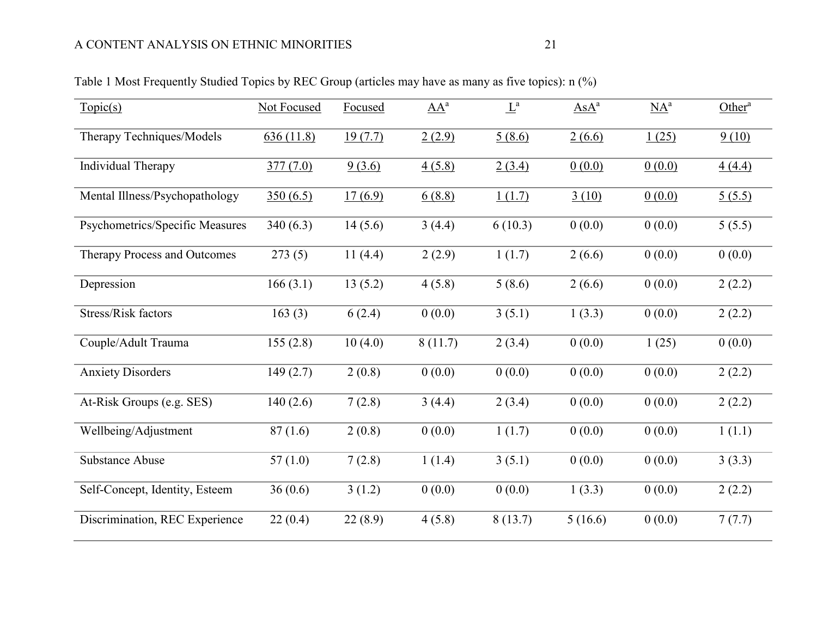<span id="page-25-0"></span>

| Topic(s)                        | Not Focused | Focused | $\underline{AA}^a$ | $\underline{L}^a$ | $AsA^a$ | $\underline{NA}^a$ | Other <sup><math>a</math></sup> |
|---------------------------------|-------------|---------|--------------------|-------------------|---------|--------------------|---------------------------------|
| Therapy Techniques/Models       | 636(11.8)   | 19(7.7) | 2(2.9)             | 5(8.6)            | 2(6.6)  | 1(25)              | 9(10)                           |
| Individual Therapy              | 377(7.0)    | 9(3.6)  | 4(5.8)             | 2(3.4)            | 0(0.0)  | 0(0.0)             | 4(4.4)                          |
| Mental Illness/Psychopathology  | 350(6.5)    | 17(6.9) | 6(8.8)             | 1(1.7)            | 3(10)   | 0(0.0)             | 5(5.5)                          |
| Psychometrics/Specific Measures | 340(6.3)    | 14(5.6) | 3(4.4)             | 6(10.3)           | 0(0.0)  | 0(0.0)             | 5(5.5)                          |
| Therapy Process and Outcomes    | 273(5)      | 11(4.4) | 2(2.9)             | 1(1.7)            | 2(6.6)  | 0(0.0)             | 0(0.0)                          |
| Depression                      | 166(3.1)    | 13(5.2) | 4(5.8)             | 5(8.6)            | 2(6.6)  | 0(0.0)             | 2(2.2)                          |
| Stress/Risk factors             | 163(3)      | 6(2.4)  | 0(0.0)             | 3(5.1)            | 1(3.3)  | 0(0.0)             | 2(2.2)                          |
| Couple/Adult Trauma             | 155(2.8)    | 10(4.0) | 8(11.7)            | 2(3.4)            | 0(0.0)  | 1(25)              | 0(0.0)                          |
| <b>Anxiety Disorders</b>        | 149(2.7)    | 2(0.8)  | 0(0.0)             | 0(0.0)            | 0(0.0)  | 0(0.0)             | 2(2.2)                          |
| At-Risk Groups (e.g. SES)       | 140(2.6)    | 7(2.8)  | 3(4.4)             | 2(3.4)            | 0(0.0)  | 0(0.0)             | 2(2.2)                          |
| Wellbeing/Adjustment            | 87(1.6)     | 2(0.8)  | 0(0.0)             | 1(1.7)            | 0(0.0)  | 0(0.0)             | 1(1.1)                          |
| <b>Substance Abuse</b>          | 57(1.0)     | 7(2.8)  | 1(1.4)             | 3(5.1)            | 0(0.0)  | 0(0.0)             | 3(3.3)                          |
| Self-Concept, Identity, Esteem  | 36(0.6)     | 3(1.2)  | 0(0.0)             | 0(0.0)            | 1(3.3)  | 0(0.0)             | 2(2.2)                          |
| Discrimination, REC Experience  | 22(0.4)     | 22(8.9) | 4(5.8)             | 8(13.7)           | 5(16.6) | 0(0.0)             | 7(7.7)                          |

## Table 1 Most Frequently Studied Topics by REC Group (articles may have as many as five topics): n (%)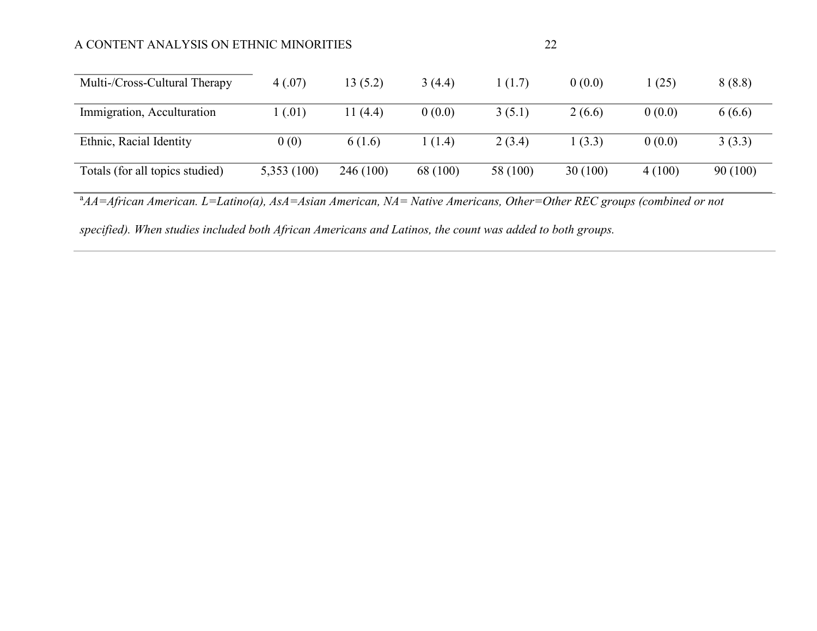## A CONTENT ANALYSIS ON ETHNIC MINORITIES 22

| Multi-/Cross-Cultural Therapy   | 4(.07)     | 13 (5.2) | 3(4.4)   | 1(1.7)   | 0(0.0)  | (25)   | 8(8.8)  |
|---------------------------------|------------|----------|----------|----------|---------|--------|---------|
| Immigration, Acculturation      | (0.01)     | 11 (4.4) | 0(0.0)   | 3(5.1)   | 2(6.6)  | 0(0.0) | 6(6.6)  |
| Ethnic, Racial Identity         | 0(0)       | 6(1.6)   | 1(1.4)   | 2(3.4)   | 1(3.3)  | 0(0.0) | 3(3.3)  |
| Totals (for all topics studied) | 5,353(100) | 246(100) | 68 (100) | 58 (100) | 30(100) | 4(100) | 90(100) |

<sup>a</sup>AA=African American. L=Latino(a), AsA=Asian American, NA= Native Americans, Other=Other REC groups (combined or not

*specified). When studies included both African Americans and Latinos, the count was added to both groups.*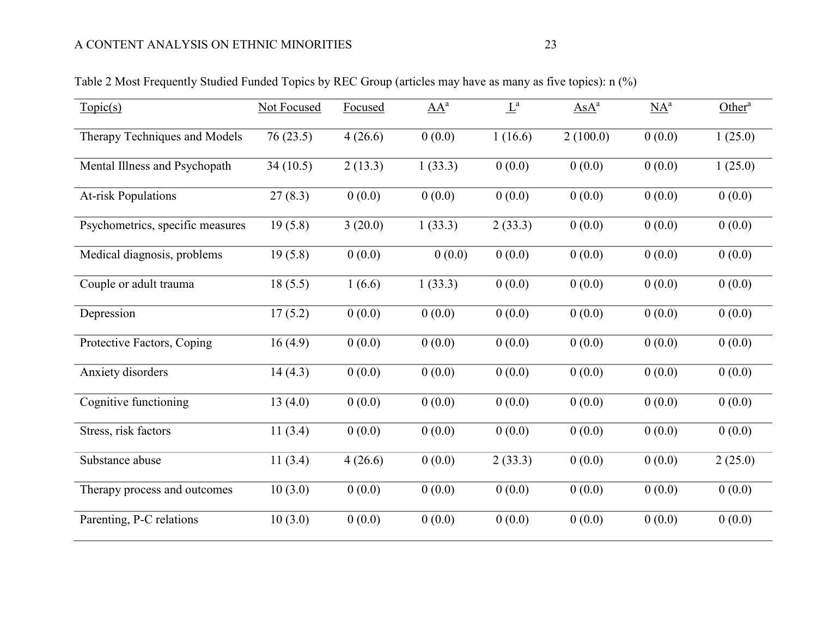<span id="page-27-0"></span>

| Topic(s)                         | <b>Not Focused</b> | Focused | $\underline{AA}^a$ | $L^a$   | $\overline{AsA}^a$ | $\underline{NA}^a$ | Other <sup><math>a</math></sup> |
|----------------------------------|--------------------|---------|--------------------|---------|--------------------|--------------------|---------------------------------|
| Therapy Techniques and Models    | 76(23.5)           | 4(26.6) | 0(0.0)             | 1(16.6) | 2(100.0)           | 0(0.0)             | 1(25.0)                         |
| Mental Illness and Psychopath    | 34(10.5)           | 2(13.3) | 1(33.3)            | 0(0.0)  | 0(0.0)             | 0(0.0)             | 1(25.0)                         |
| <b>At-risk Populations</b>       | 27(8.3)            | 0(0.0)  | 0(0.0)             | 0(0.0)  | 0(0.0)             | 0(0.0)             | 0(0.0)                          |
| Psychometrics, specific measures | 19(5.8)            | 3(20.0) | 1(33.3)            | 2(33.3) | 0(0.0)             | 0(0.0)             | 0(0.0)                          |
| Medical diagnosis, problems      | 19(5.8)            | 0(0.0)  | 0(0.0)             | 0(0.0)  | 0(0.0)             | 0(0.0)             | 0(0.0)                          |
| Couple or adult trauma           | 18(5.5)            | 1(6.6)  | 1(33.3)            | 0(0.0)  | 0(0.0)             | 0(0.0)             | 0(0.0)                          |
| Depression                       | 17(5.2)            | 0(0.0)  | 0(0.0)             | 0(0.0)  | 0(0.0)             | 0(0.0)             | 0(0.0)                          |
| Protective Factors, Coping       | 16(4.9)            | 0(0.0)  | 0(0.0)             | 0(0.0)  | 0(0.0)             | 0(0.0)             | 0(0.0)                          |
| Anxiety disorders                | 14(4.3)            | 0(0.0)  | 0(0.0)             | 0(0.0)  | 0(0.0)             | 0(0.0)             | 0(0.0)                          |
| Cognitive functioning            | 13(4.0)            | 0(0.0)  | 0(0.0)             | 0(0.0)  | 0(0.0)             | 0(0.0)             | 0(0.0)                          |
| Stress, risk factors             | 11(3.4)            | 0(0.0)  | 0(0.0)             | 0(0.0)  | 0(0.0)             | 0(0.0)             | 0(0.0)                          |
| Substance abuse                  | 11(3.4)            | 4(26.6) | 0(0.0)             | 2(33.3) | 0(0.0)             | 0(0.0)             | 2(25.0)                         |
| Therapy process and outcomes     | 10(3.0)            | 0(0.0)  | 0(0.0)             | 0(0.0)  | 0(0.0)             | 0(0.0)             | 0(0.0)                          |
| Parenting, P-C relations         | 10(3.0)            | 0(0.0)  | 0(0.0)             | 0(0.0)  | 0(0.0)             | 0(0.0)             | 0(0.0)                          |

Table 2 Most Frequently Studied Funded Topics by REC Group (articles may have as many as five topics): n (%)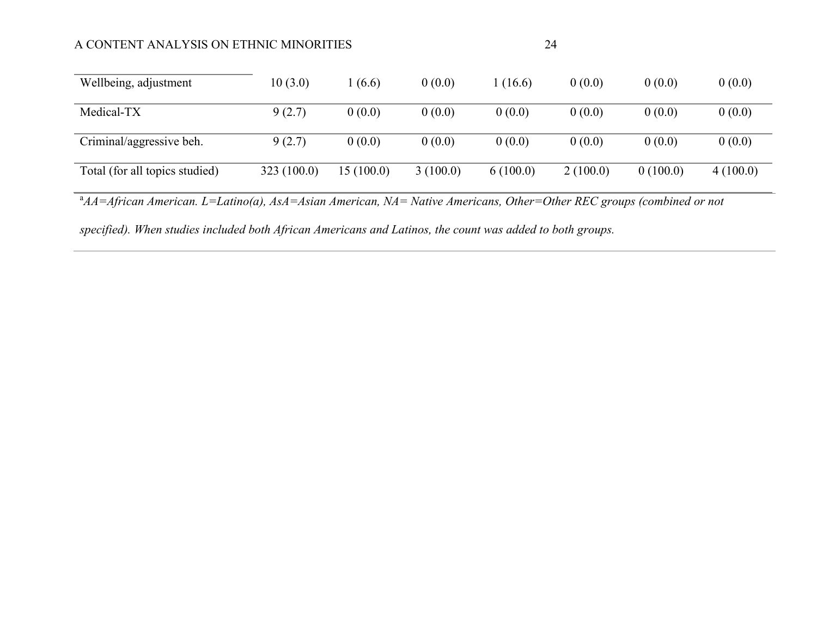## A CONTENT ANALYSIS ON ETHNIC MINORITIES 24

| Wellbeing, adjustment          | 10(3.0)    | (6.6)      | 0(0.0)   | 1 (16.6) | 0(0.0)   | 0(0.0)   | 0(0.0)   |
|--------------------------------|------------|------------|----------|----------|----------|----------|----------|
| Medical-TX                     | 9(2.7)     | 0(0.0)     | 0(0.0)   | 0(0.0)   | 0(0.0)   | 0(0.0)   | 0(0.0)   |
| Criminal/aggressive beh.       | 9(2.7)     | 0(0.0)     | 0(0.0)   | 0(0.0)   | 0(0.0)   | 0(0.0)   | 0(0.0)   |
| Total (for all topics studied) | 323(100.0) | 15 (100.0) | 3(100.0) | 6(100.0) | 2(100.0) | 0(100.0) | 4(100.0) |

<sup>a</sup> $AA=African American.$   $L=Latino(a)$ ,  $AsA=Asian American,$   $NA=Native Americans, Other=Other REC groups (combined or not$ 

*specified). When studies included both African Americans and Latinos, the count was added to both groups.*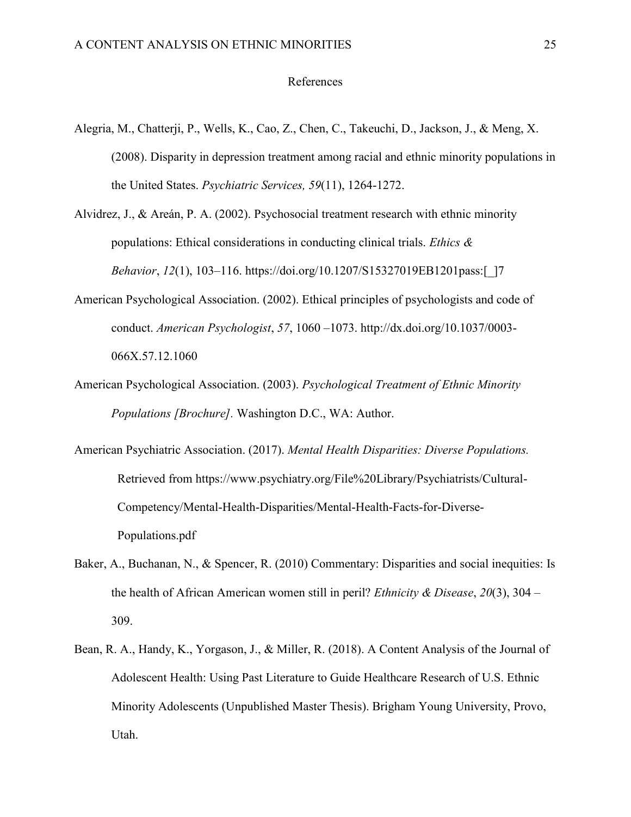#### References

- <span id="page-29-0"></span>Alegria, M., Chatterji, P., Wells, K., Cao, Z., Chen, C., Takeuchi, D., Jackson, J., & Meng, X. (2008). Disparity in depression treatment among racial and ethnic minority populations in the United States. *Psychiatric Services, 59*(11), 1264-1272.
- Alvidrez, J., & Areán, P. A. (2002). Psychosocial treatment research with ethnic minority populations: Ethical considerations in conducting clinical trials. *Ethics & Behavior*, *12*(1), 103–116. https://doi.org/10.1207/S15327019EB1201pass:[\_]7
- American Psychological Association. (2002). Ethical principles of psychologists and code of conduct. *American Psychologist*, *57*, 1060 –1073. http://dx.doi.org/10.1037/0003- 066X.57.12.1060
- American Psychological Association. (2003). *Psychological Treatment of Ethnic Minority Populations [Brochure].* Washington D.C., WA: Author.
- American Psychiatric Association. (2017). *Mental Health Disparities: Diverse Populations.* Retrieved from https://www.psychiatry.org/File%20Library/Psychiatrists/Cultural-Competency/Mental-Health-Disparities/Mental-Health-Facts-for-Diverse-Populations.pdf
- Baker, A., Buchanan, N., & Spencer, R. (2010) Commentary: Disparities and social inequities: Is the health of African American women still in peril? *Ethnicity & Disease*, *20*(3), 304 – 309.
- Bean, R. A., Handy, K., Yorgason, J., & Miller, R. (2018). A Content Analysis of the Journal of Adolescent Health: Using Past Literature to Guide Healthcare Research of U.S. Ethnic Minority Adolescents (Unpublished Master Thesis). Brigham Young University, Provo, Utah.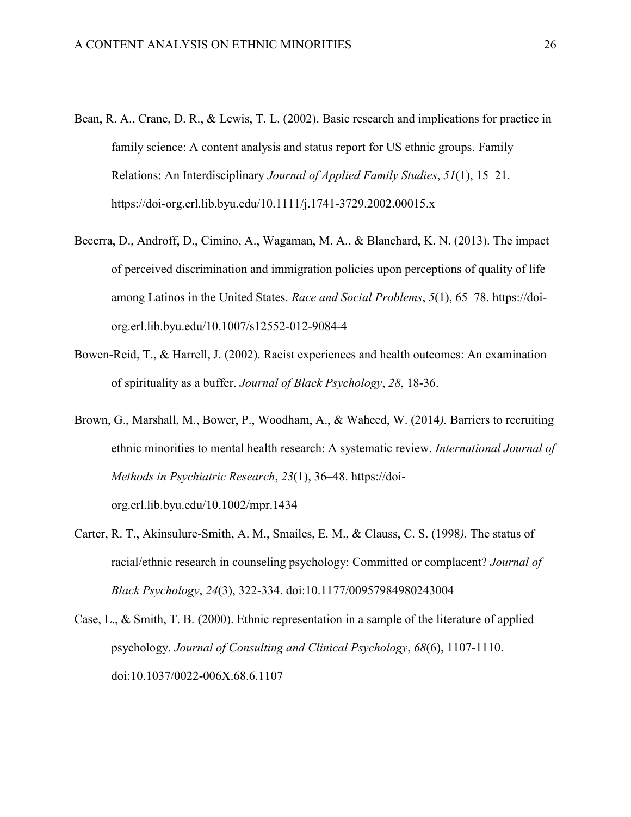- Bean, R. A., Crane, D. R., & Lewis, T. L. (2002). Basic research and implications for practice in family science: A content analysis and status report for US ethnic groups. Family Relations: An Interdisciplinary *Journal of Applied Family Studies*, *51*(1), 15–21. https://doi-org.erl.lib.byu.edu/10.1111/j.1741-3729.2002.00015.x
- Becerra, D., Androff, D., Cimino, A., Wagaman, M. A., & Blanchard, K. N. (2013). The impact of perceived discrimination and immigration policies upon perceptions of quality of life among Latinos in the United States. *Race and Social Problems*, *5*(1), 65–78. https://doiorg.erl.lib.byu.edu/10.1007/s12552-012-9084-4
- Bowen-Reid, T., & Harrell, J. (2002). Racist experiences and health outcomes: An examination of spirituality as a buffer. *Journal of Black Psychology*, *28*, 18-36.
- Brown, G., Marshall, M., Bower, P., Woodham, A., & Waheed, W. (2014*).* Barriers to recruiting ethnic minorities to mental health research: A systematic review. *International Journal of Methods in Psychiatric Research*, *23*(1), 36–48. https://doiorg.erl.lib.byu.edu/10.1002/mpr.1434
- Carter, R. T., Akinsulure-Smith, A. M., Smailes, E. M., & Clauss, C. S. (1998*).* The status of racial/ethnic research in counseling psychology: Committed or complacent? *Journal of Black Psychology*, *24*(3), 322-334. doi:10.1177/00957984980243004
- Case, L., & Smith, T. B. (2000). Ethnic representation in a sample of the literature of applied psychology. *Journal of Consulting and Clinical Psychology*, *68*(6), 1107-1110. doi:10.1037/0022-006X.68.6.1107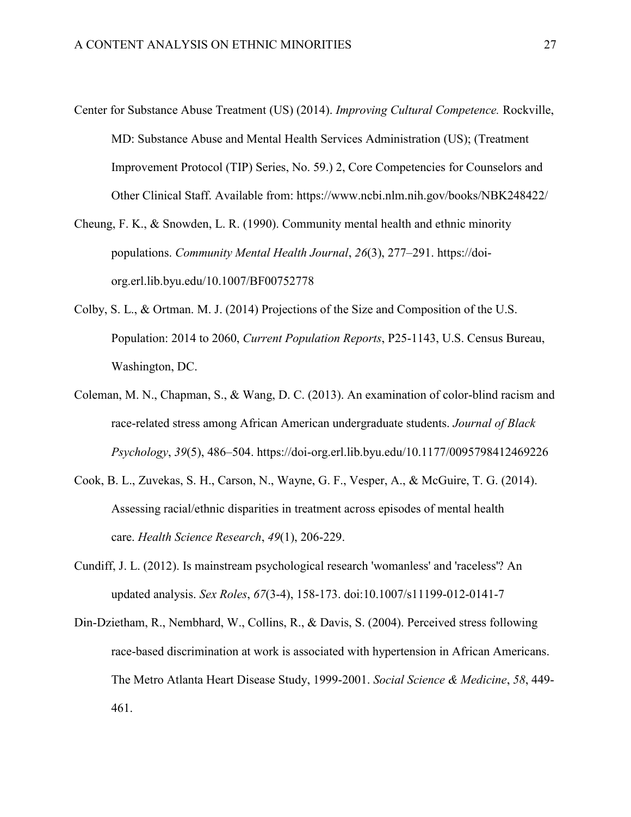- Center for Substance Abuse Treatment (US) (2014). *Improving Cultural Competence.* Rockville, MD: Substance Abuse and Mental Health Services Administration (US); (Treatment Improvement Protocol (TIP) Series, No. 59.) 2, Core Competencies for Counselors and Other Clinical Staff. Available from: https://www.ncbi.nlm.nih.gov/books/NBK248422/
- Cheung, F. K., & Snowden, L. R. (1990). Community mental health and ethnic minority populations. *Community Mental Health Journal*, *26*(3), 277–291. https://doiorg.erl.lib.byu.edu/10.1007/BF00752778
- Colby, S. L., & Ortman. M. J. (2014) Projections of the Size and Composition of the U.S. Population: 2014 to 2060, *Current Population Reports*, P25-1143, U.S. Census Bureau, Washington, DC.
- Coleman, M. N., Chapman, S., & Wang, D. C. (2013). An examination of color-blind racism and race-related stress among African American undergraduate students. *Journal of Black Psychology*, *39*(5), 486–504. https://doi-org.erl.lib.byu.edu/10.1177/0095798412469226
- Cook, B. L., Zuvekas, S. H., Carson, N., Wayne, G. F., Vesper, A., & McGuire, T. G. (2014). Assessing racial/ethnic disparities in treatment across episodes of mental health care. *Health Science Research*, *49*(1), 206-229.
- Cundiff, J. L. (2012). Is mainstream psychological research 'womanless' and 'raceless'? An updated analysis. *Sex Roles*, *67*(3-4), 158-173. doi:10.1007/s11199-012-0141-7
- Din-Dzietham, R., Nembhard, W., Collins, R., & Davis, S. (2004). Perceived stress following race-based discrimination at work is associated with hypertension in African Americans. The Metro Atlanta Heart Disease Study, 1999-2001. *Social Science & Medicine*, *58*, 449- 461.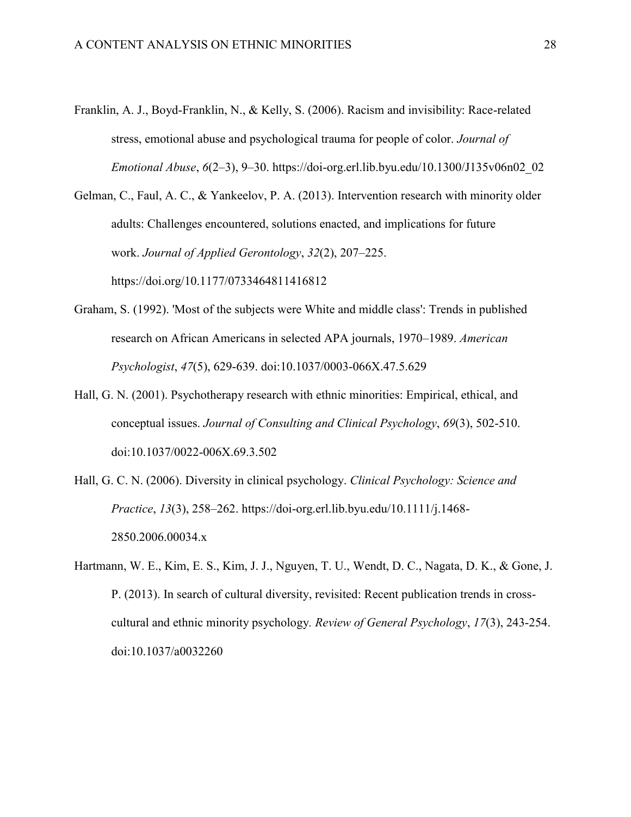- Franklin, A. J., Boyd-Franklin, N., & Kelly, S. (2006). Racism and invisibility: Race-related stress, emotional abuse and psychological trauma for people of color. *Journal of Emotional Abuse*, *6*(2–3), 9–30. https://doi-org.erl.lib.byu.edu/10.1300/J135v06n02\_02
- Gelman, C., Faul, A. C., & Yankeelov, P. A. (2013). Intervention research with minority older adults: Challenges encountered, solutions enacted, and implications for future work. *Journal of Applied Gerontology*, *32*(2), 207–225. https://doi.org/10.1177/0733464811416812

Graham, S. (1992). 'Most of the subjects were White and middle class': Trends in published research on African Americans in selected APA journals, 1970–1989. *American Psychologist*, *47*(5), 629-639. doi:10.1037/0003-066X.47.5.629

- Hall, G. N. (2001). Psychotherapy research with ethnic minorities: Empirical, ethical, and conceptual issues. *Journal of Consulting and Clinical Psychology*, *69*(3), 502-510. doi:10.1037/0022-006X.69.3.502
- Hall, G. C. N. (2006). Diversity in clinical psychology. *Clinical Psychology: Science and Practice*, *13*(3), 258–262. https://doi-org.erl.lib.byu.edu/10.1111/j.1468- 2850.2006.00034.x
- Hartmann, W. E., Kim, E. S., Kim, J. J., Nguyen, T. U., Wendt, D. C., Nagata, D. K., & Gone, J. P. (2013). In search of cultural diversity, revisited: Recent publication trends in crosscultural and ethnic minority psychology*. Review of General Psychology*, *17*(3), 243-254. doi:10.1037/a0032260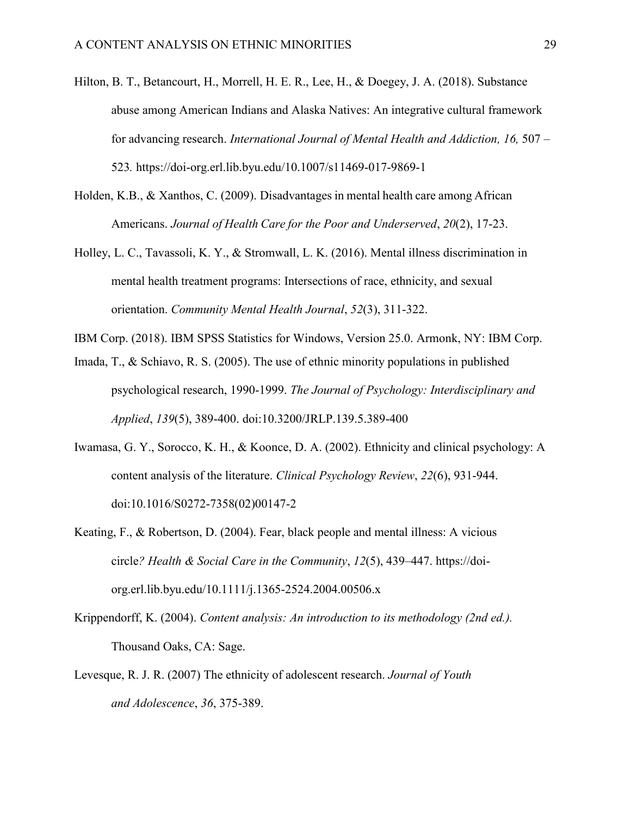- Hilton, B. T., Betancourt, H., Morrell, H. E. R., Lee, H., & Doegey, J. A. (2018). Substance abuse among American Indians and Alaska Natives: An integrative cultural framework for advancing research. *International Journal of Mental Health and Addiction, 16, 507 –* 523*.* https://doi-org.erl.lib.byu.edu/10.1007/s11469-017-9869-1
- Holden, K.B., & Xanthos, C. (2009). Disadvantages in mental health care among African Americans. *Journal of Health Care for the Poor and Underserved*, *20*(2), 17-23.
- Holley, L. C., Tavassoli, K. Y., & Stromwall, L. K. (2016). Mental illness discrimination in mental health treatment programs: Intersections of race, ethnicity, and sexual orientation. *Community Mental Health Journal*, *52*(3), 311-322.
- IBM Corp. (2018). IBM SPSS Statistics for Windows, Version 25.0. Armonk, NY: IBM Corp.
- Imada, T., & Schiavo, R. S. (2005). The use of ethnic minority populations in published psychological research, 1990-1999. *The Journal of Psychology: Interdisciplinary and Applied*, *139*(5), 389-400. doi:10.3200/JRLP.139.5.389-400
- Iwamasa, G. Y., Sorocco, K. H., & Koonce, D. A. (2002). Ethnicity and clinical psychology: A content analysis of the literature. *Clinical Psychology Review*, *22*(6), 931-944. doi:10.1016/S0272-7358(02)00147-2
- Keating, F., & Robertson, D. (2004). Fear, black people and mental illness: A vicious circle*? Health & Social Care in the Community*, *12*(5), 439–447. https://doiorg.erl.lib.byu.edu/10.1111/j.1365-2524.2004.00506.x
- Krippendorff, K. (2004). *Content analysis: An introduction to its methodology (2nd ed.).* Thousand Oaks, CA: Sage.
- Levesque, R. J. R. (2007) The ethnicity of adolescent research. *Journal of Youth and Adolescence*, *36*, 375-389.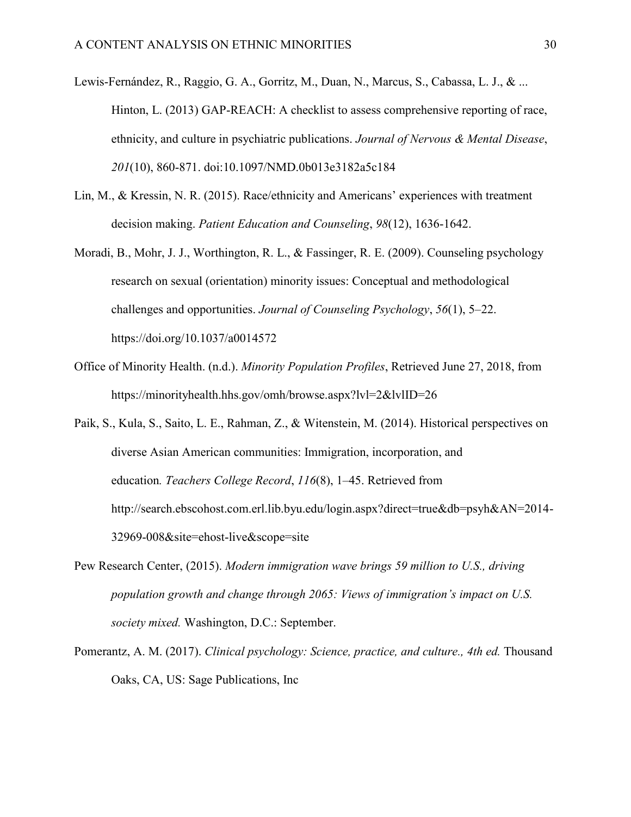- Lewis-Fernández, R., Raggio, G. A., Gorritz, M., Duan, N., Marcus, S., Cabassa, L. J., & ... Hinton, L. (2013) GAP-REACH: A checklist to assess comprehensive reporting of race, ethnicity, and culture in psychiatric publications. *Journal of Nervous & Mental Disease*, *201*(10), 860-871. doi:10.1097/NMD.0b013e3182a5c184
- Lin, M., & Kressin, N. R. (2015). Race/ethnicity and Americans' experiences with treatment decision making. *Patient Education and Counseling*, *98*(12), 1636-1642.
- Moradi, B., Mohr, J. J., Worthington, R. L., & Fassinger, R. E. (2009). Counseling psychology research on sexual (orientation) minority issues: Conceptual and methodological challenges and opportunities. *Journal of Counseling Psychology*, *56*(1), 5–22. https://doi.org/10.1037/a0014572
- Office of Minority Health. (n.d.). *Minority Population Profiles*, Retrieved June 27, 2018, from https://minorityhealth.hhs.gov/omh/browse.aspx?lvl=2&lvlID=26
- Paik, S., Kula, S., Saito, L. E., Rahman, Z., & Witenstein, M. (2014). Historical perspectives on diverse Asian American communities: Immigration, incorporation, and education*. Teachers College Record*, *116*(8), 1–45. Retrieved from http://search.ebscohost.com.erl.lib.byu.edu/login.aspx?direct=true&db=psyh&AN=2014- 32969-008&site=ehost-live&scope=site
- Pew Research Center, (2015). *Modern immigration wave brings 59 million to U.S., driving population growth and change through 2065: Views of immigration's impact on U.S. society mixed.* Washington, D.C.: September.
- Pomerantz, A. M. (2017). *Clinical psychology: Science, practice, and culture., 4th ed.* Thousand Oaks, CA, US: Sage Publications, Inc